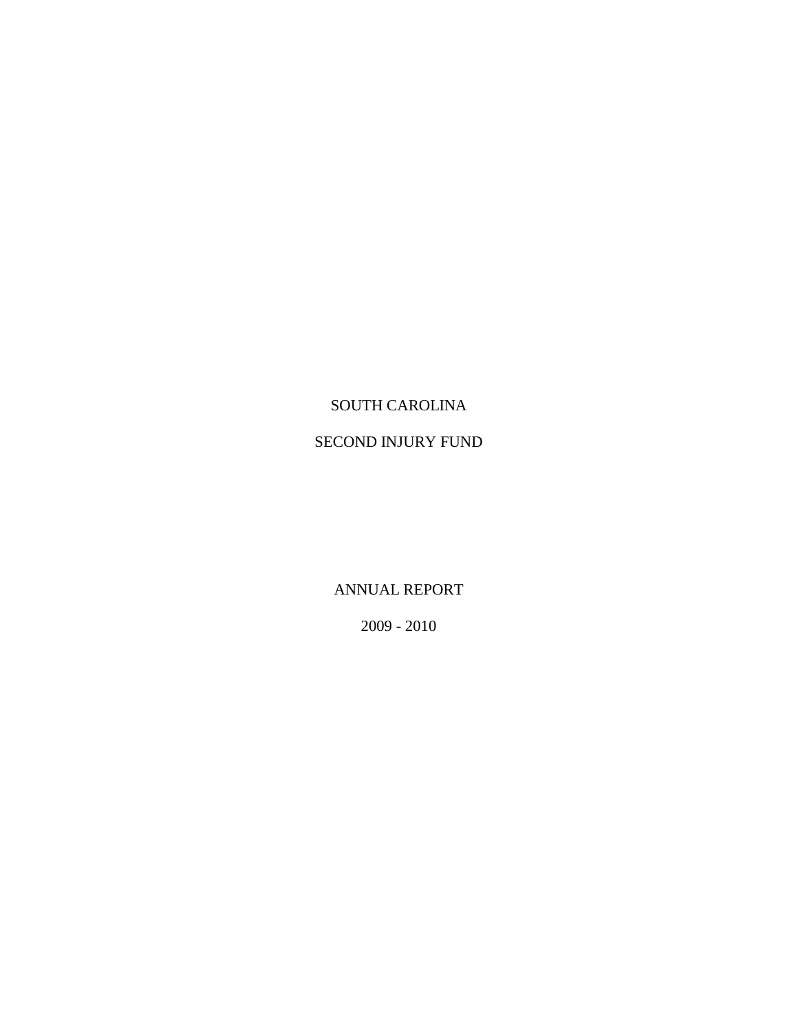# SOUTH CAROLINA

# SECOND INJURY FUND

ANNUAL REPORT

2009 - 2010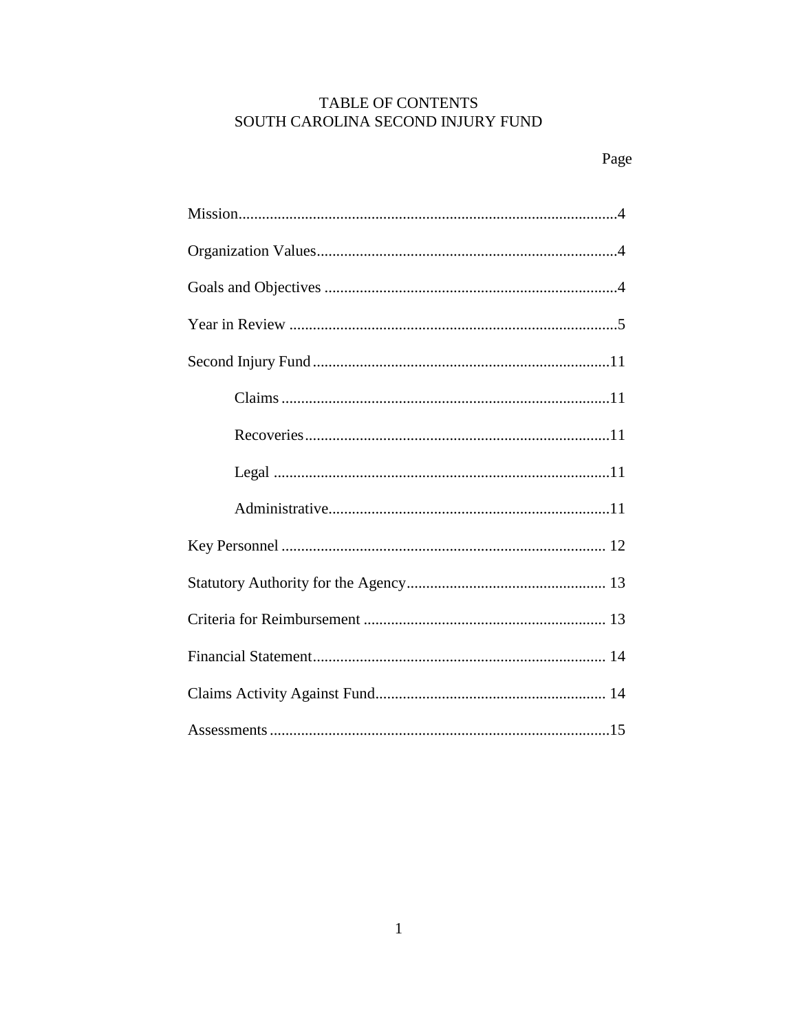# TABLE OF CONTENTS SOUTH CAROLINA SECOND INJURY FUND

# Page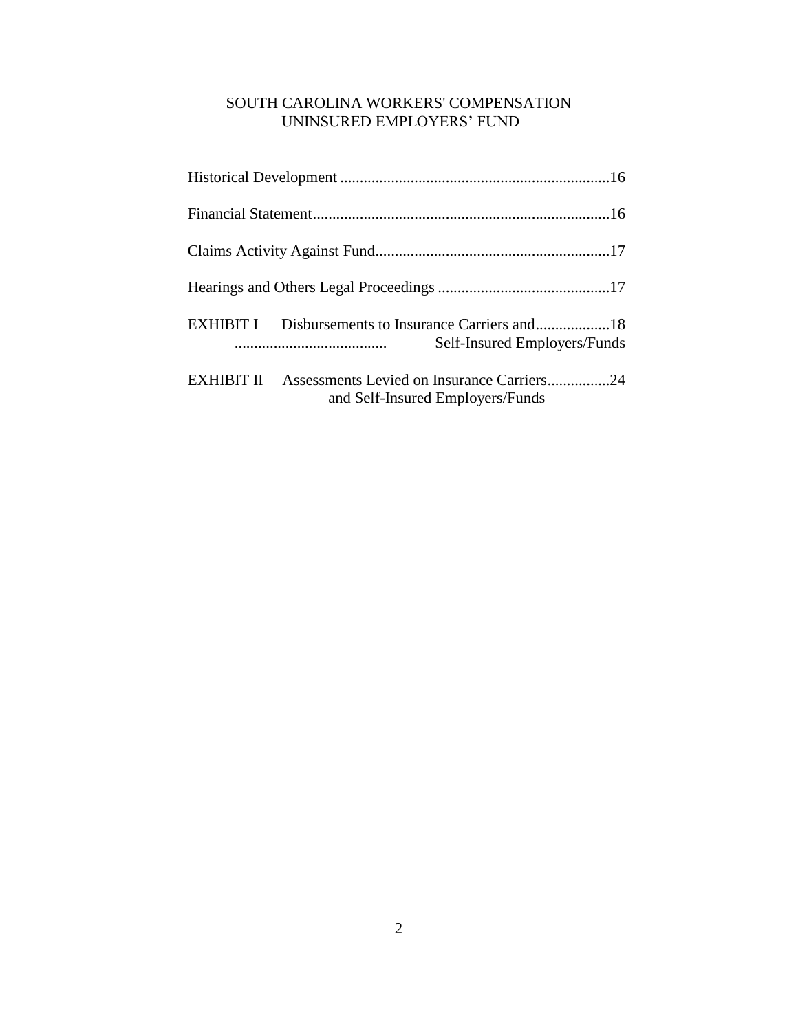# SOUTH CAROLINA WORKERS' COMPENSATION UNINSURED EMPLOYERS" FUND

| EXHIBIT I  | Self-Insured Employers/Funds                                                   |
|------------|--------------------------------------------------------------------------------|
| EXHIBIT II | Assessments Levied on Insurance Carriers24<br>and Self-Insured Employers/Funds |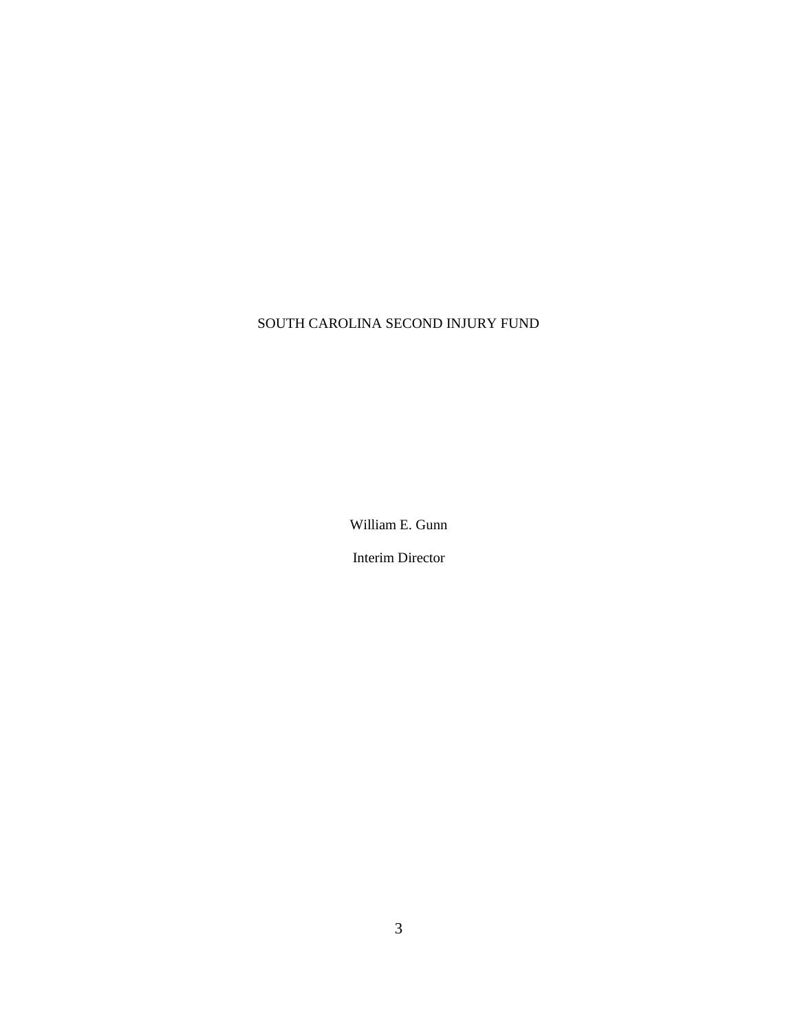# SOUTH CAROLINA SECOND INJURY FUND

William E. Gunn

Interim Director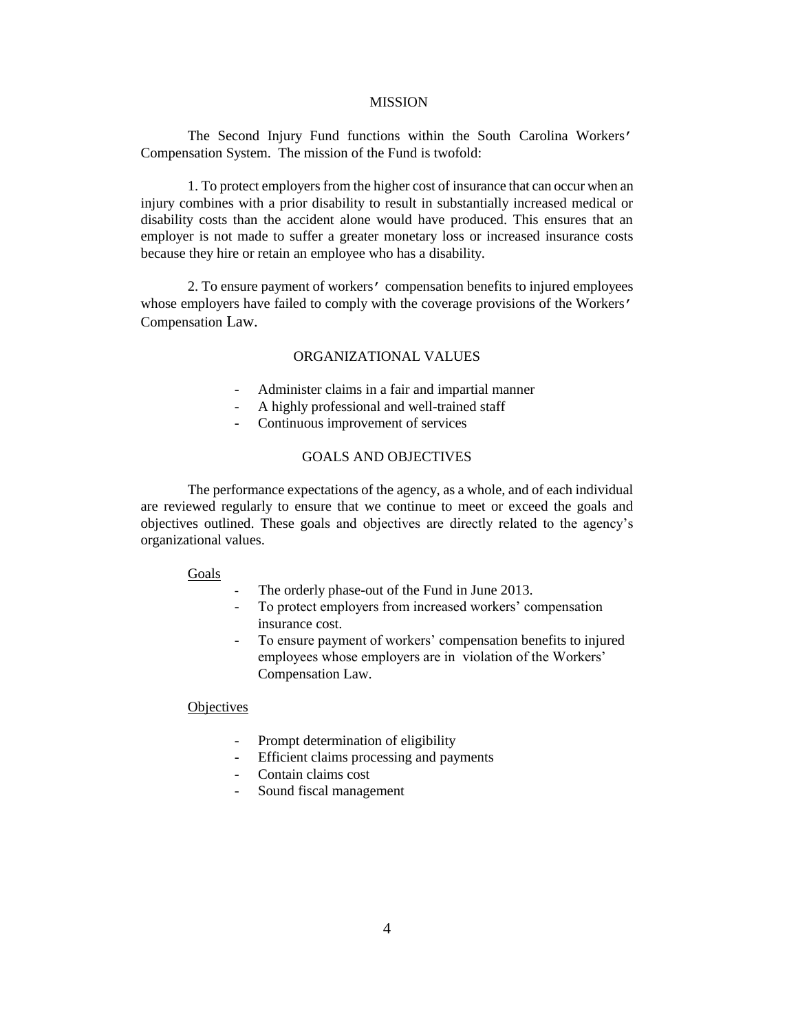#### MISSION

The Second Injury Fund functions within the South Carolina Workers' Compensation System. The mission of the Fund is twofold:

1. To protect employers from the higher cost of insurance that can occur when an injury combines with a prior disability to result in substantially increased medical or disability costs than the accident alone would have produced. This ensures that an employer is not made to suffer a greater monetary loss or increased insurance costs because they hire or retain an employee who has a disability.

2. To ensure payment of workers' compensation benefits to injured employees whose employers have failed to comply with the coverage provisions of the Workers' Compensation Law.

#### ORGANIZATIONAL VALUES

- Administer claims in a fair and impartial manner
- A highly professional and well-trained staff
- Continuous improvement of services

### GOALS AND OBJECTIVES

The performance expectations of the agency, as a whole, and of each individual are reviewed regularly to ensure that we continue to meet or exceed the goals and objectives outlined. These goals and objectives are directly related to the agency"s organizational values.

#### Goals

- The orderly phase-out of the Fund in June 2013.
- To protect employers from increased workers' compensation insurance cost.
- To ensure payment of workers' compensation benefits to injured employees whose employers are in violation of the Workers' Compensation Law.

#### **Objectives**

- Prompt determination of eligibility
- Efficient claims processing and payments
- Contain claims cost
- Sound fiscal management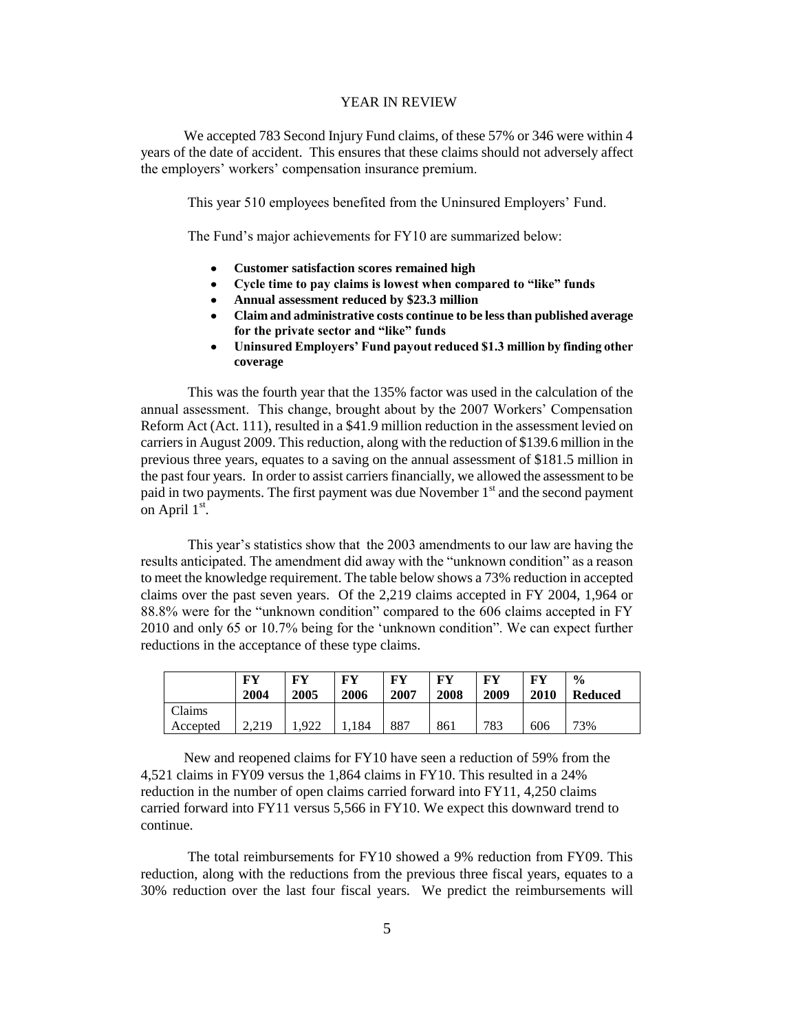#### YEAR IN REVIEW

 We accepted 783 Second Injury Fund claims, of these 57% or 346 were within 4 years of the date of accident. This ensures that these claims should not adversely affect the employers' workers' compensation insurance premium.

This year 510 employees benefited from the Uninsured Employers' Fund.

The Fund's major achievements for FY10 are summarized below:

- **Customer satisfaction scores remained high**
- **Cycle time to pay claims is lowest when compared to "like" funds**   $\bullet$
- **Annual assessment reduced by \$23.3 million**
- **Claim and administrative costs continue to be less than published average for the private sector and "like" funds**
- **Uninsured Employers' Fund payout reduced \$1.3 million by finding other coverage**

 This was the fourth year that the 135% factor was used in the calculation of the annual assessment. This change, brought about by the 2007 Workers" Compensation Reform Act (Act. 111), resulted in a \$41.9 million reduction in the assessment levied on carriers in August 2009. This reduction, along with the reduction of \$139.6 million in the previous three years, equates to a saving on the annual assessment of \$181.5 million in the past four years. In order to assist carriers financially, we allowed the assessment to be paid in two payments. The first payment was due November  $1<sup>st</sup>$  and the second payment on April  $1<sup>st</sup>$ .

This year's statistics show that the 2003 amendments to our law are having the results anticipated. The amendment did away with the "unknown condition" as a reason to meet the knowledge requirement. The table below shows a 73% reduction in accepted claims over the past seven years. Of the 2,219 claims accepted in FY 2004, 1,964 or 88.8% were for the "unknown condition" compared to the 606 claims accepted in FY 2010 and only 65 or 10.7% being for the "unknown condition". We can expect further reductions in the acceptance of these type claims.

|          | FY<br>2004 | FY<br>2005 | FV<br>2006 | FV<br>2007 | FY<br>2008 | FY<br>2009 | FV<br>2010 | $\frac{6}{9}$<br><b>Reduced</b> |
|----------|------------|------------|------------|------------|------------|------------|------------|---------------------------------|
| Claims   |            |            |            |            |            |            |            |                                 |
| Accepted | 2.219      | .922       | 1,184      | 887        | 861        | 783        | 606        | 73%                             |

 New and reopened claims for FY10 have seen a reduction of 59% from the 4,521 claims in FY09 versus the 1,864 claims in FY10. This resulted in a 24% reduction in the number of open claims carried forward into FY11, 4,250 claims carried forward into FY11 versus 5,566 in FY10. We expect this downward trend to continue.

The total reimbursements for FY10 showed a 9% reduction from FY09. This reduction, along with the reductions from the previous three fiscal years, equates to a 30% reduction over the last four fiscal years. We predict the reimbursements will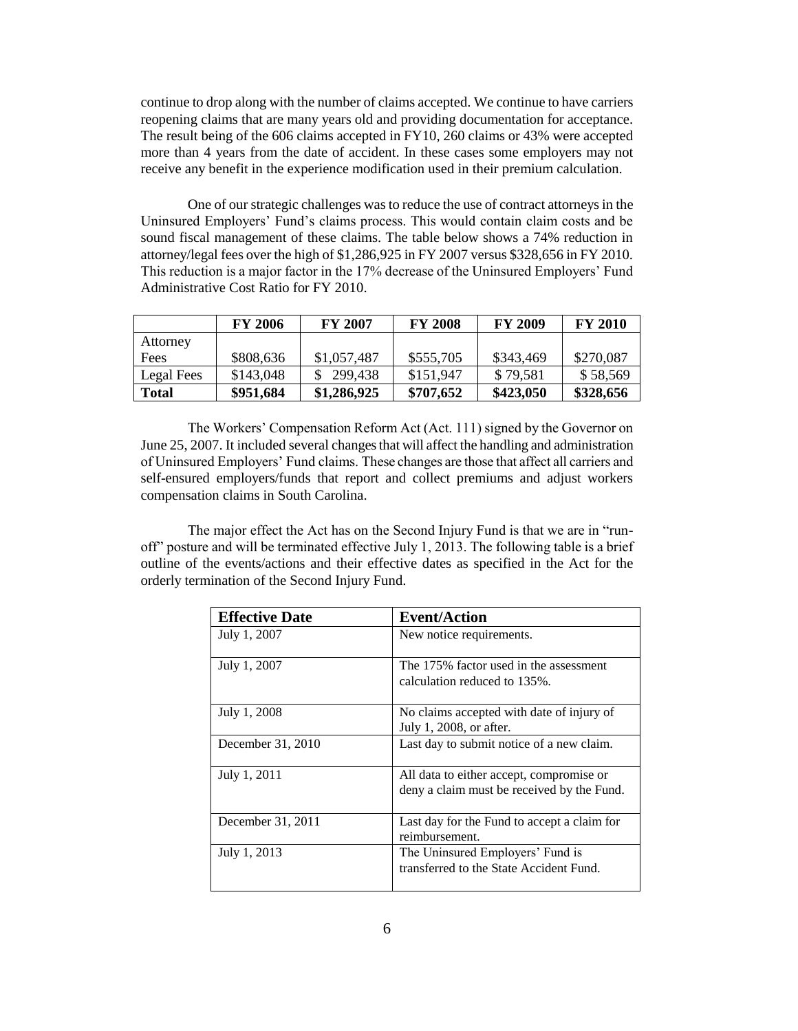continue to drop along with the number of claims accepted. We continue to have carriers reopening claims that are many years old and providing documentation for acceptance. The result being of the 606 claims accepted in FY10, 260 claims or 43% were accepted more than 4 years from the date of accident. In these cases some employers may not receive any benefit in the experience modification used in their premium calculation.

One of our strategic challenges was to reduce the use of contract attorneys in the Uninsured Employers" Fund"s claims process. This would contain claim costs and be sound fiscal management of these claims. The table below shows a 74% reduction in attorney/legal fees over the high of \$1,286,925 in FY 2007 versus \$328,656 in FY 2010. This reduction is a major factor in the 17% decrease of the Uninsured Employers" Fund Administrative Cost Ratio for FY 2010.

|            | <b>FY 2006</b> | <b>FY 2007</b> | <b>FY 2008</b> | <b>FY 2009</b> | <b>FY 2010</b> |
|------------|----------------|----------------|----------------|----------------|----------------|
| Attorney   |                |                |                |                |                |
| Fees       | \$808,636      | \$1,057,487    | \$555,705      | \$343,469      | \$270,087      |
| Legal Fees | \$143,048      | \$299,438      | \$151,947      | \$79,581       | \$58,569       |
| Total      | \$951,684      | \$1,286,925    | \$707,652      | \$423,050      | \$328,656      |

The Workers" Compensation Reform Act (Act. 111) signed by the Governor on June 25, 2007. It included several changes that will affect the handling and administration of Uninsured Employers" Fund claims. These changes are those that affect all carriers and self-ensured employers/funds that report and collect premiums and adjust workers compensation claims in South Carolina.

The major effect the Act has on the Second Injury Fund is that we are in "runoff" posture and will be terminated effective July 1, 2013. The following table is a brief outline of the events/actions and their effective dates as specified in the Act for the orderly termination of the Second Injury Fund.

| <b>Effective Date</b> | <b>Event/Action</b>                                                                    |
|-----------------------|----------------------------------------------------------------------------------------|
| July 1, 2007          | New notice requirements.                                                               |
| July 1, 2007          | The 175% factor used in the assessment<br>calculation reduced to 135%.                 |
| July 1, 2008          | No claims accepted with date of injury of<br>July 1, 2008, or after.                   |
| December 31, 2010     | Last day to submit notice of a new claim.                                              |
| July 1, 2011          | All data to either accept, compromise or<br>deny a claim must be received by the Fund. |
| December 31, 2011     | Last day for the Fund to accept a claim for<br>reimbursement.                          |
| July 1, 2013          | The Uninsured Employers' Fund is<br>transferred to the State Accident Fund.            |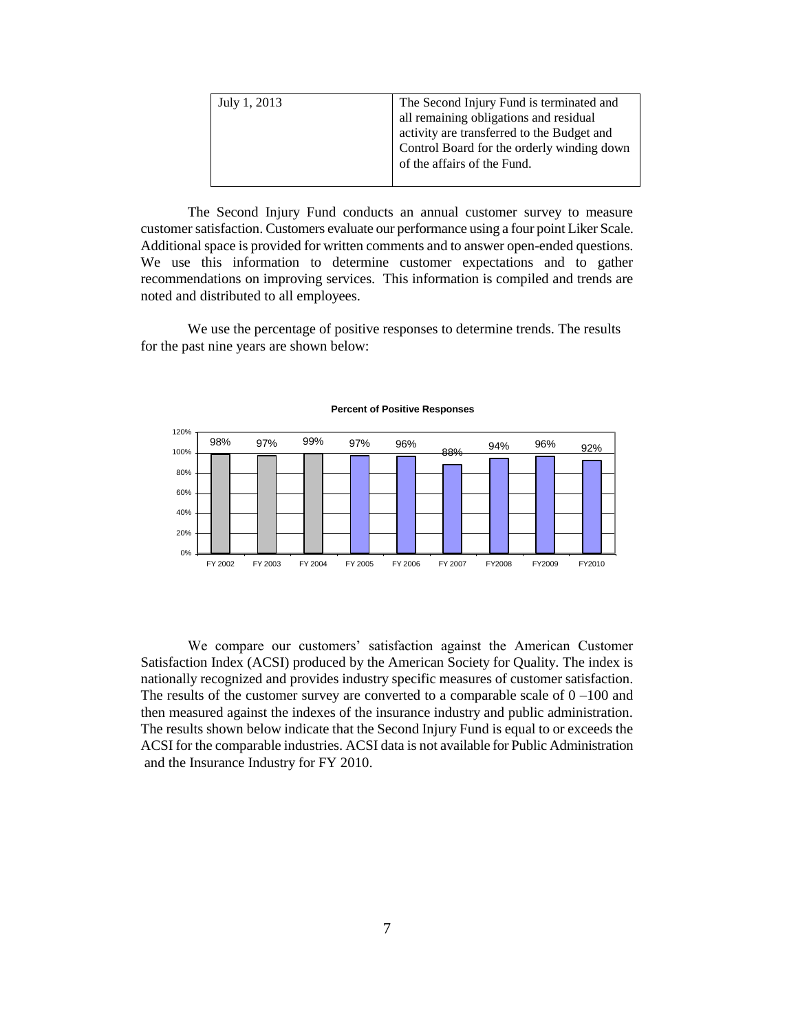| July 1, 2013 | The Second Injury Fund is terminated and   |
|--------------|--------------------------------------------|
|              | all remaining obligations and residual     |
|              | activity are transferred to the Budget and |
|              | Control Board for the orderly winding down |
|              | of the affairs of the Fund.                |
|              |                                            |

The Second Injury Fund conducts an annual customer survey to measure customer satisfaction. Customers evaluate our performance using a four point Liker Scale. Additional space is provided for written comments and to answer open-ended questions. We use this information to determine customer expectations and to gather recommendations on improving services. This information is compiled and trends are noted and distributed to all employees.

We use the percentage of positive responses to determine trends. The results for the past nine years are shown below:



#### **Percent of Positive Responses**

We compare our customers" satisfaction against the American Customer Satisfaction Index (ACSI) produced by the American Society for Quality. The index is nationally recognized and provides industry specific measures of customer satisfaction. The results of the customer survey are converted to a comparable scale of  $0 - 100$  and then measured against the indexes of the insurance industry and public administration. The results shown below indicate that the Second Injury Fund is equal to or exceeds the ACSI for the comparable industries. ACSI data is not available for Public Administration and the Insurance Industry for FY 2010.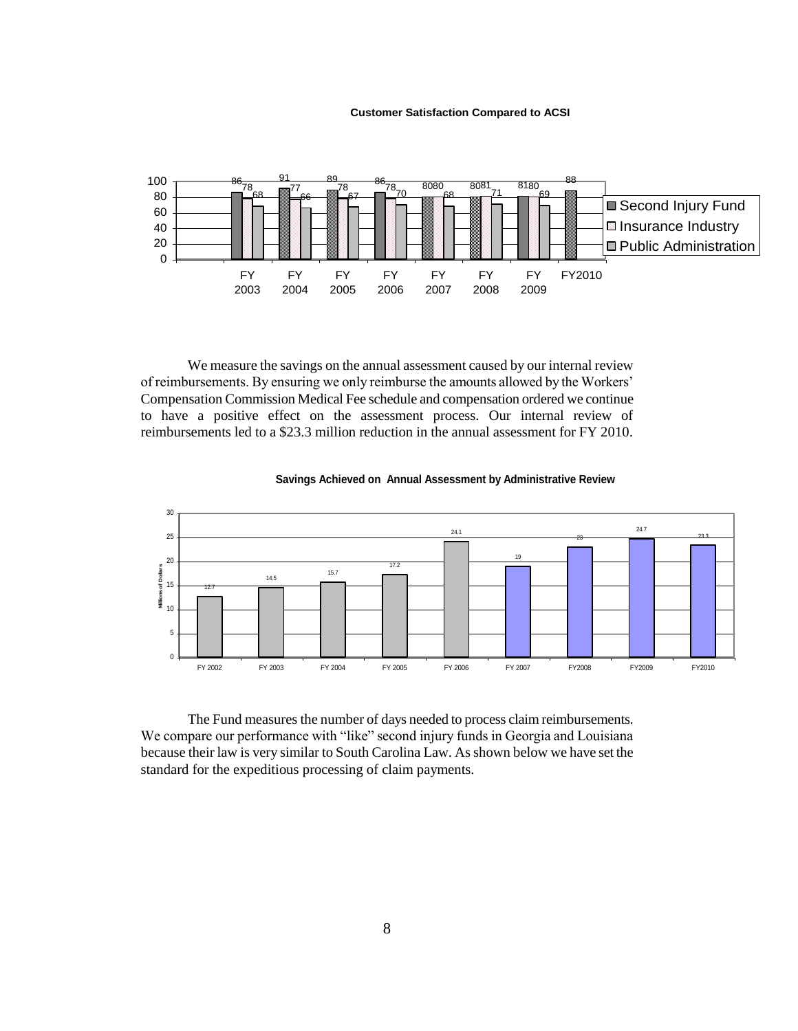#### **Customer Satisfaction Compared to ACSI**



We measure the savings on the annual assessment caused by our internal review of reimbursements. By ensuring we only reimburse the amounts allowed by the Workers" Compensation Commission Medical Fee schedule and compensation ordered we continue to have a positive effect on the assessment process. Our internal review of reimbursements led to a \$23.3 million reduction in the annual assessment for FY 2010.



#### **Savings Achieved on Annual Assessment by Administrative Review**

The Fund measures the number of days needed to process claim reimbursements. We compare our performance with "like" second injury funds in Georgia and Louisiana because their law is very similar to South Carolina Law. As shown below we have set the standard for the expeditious processing of claim payments.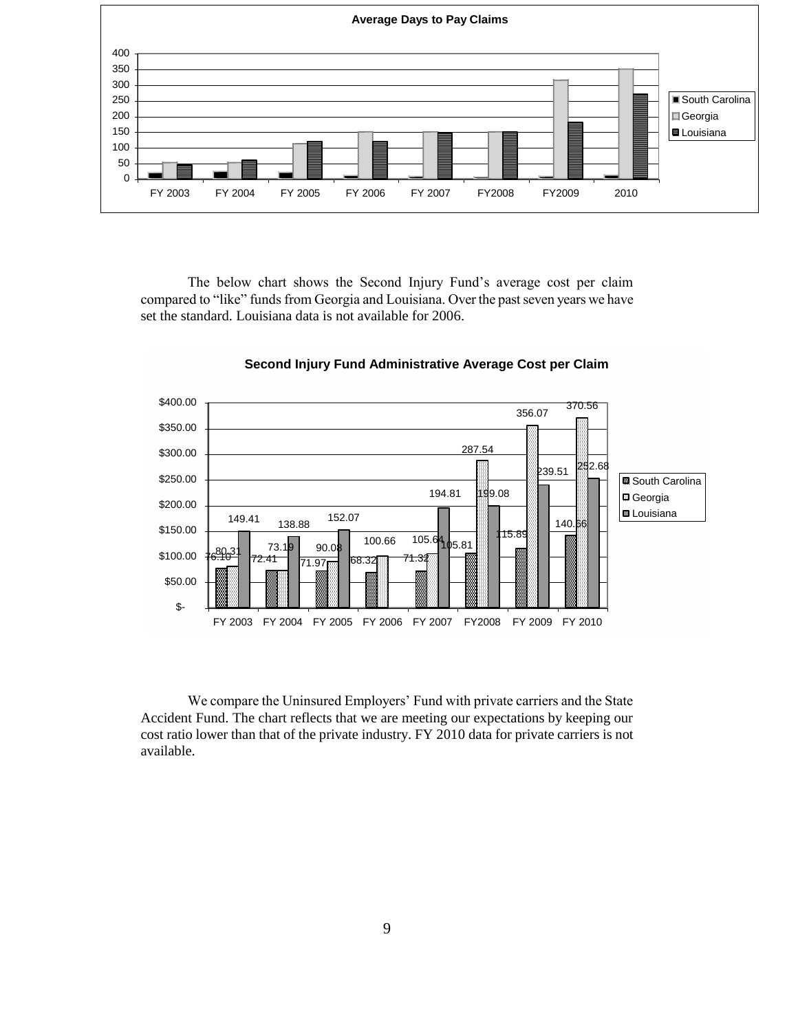

The below chart shows the Second Injury Fund"s average cost per claim compared to "like" funds from Georgia and Louisiana. Over the past seven years we have set the standard. Louisiana data is not available for 2006.



**Second Injury Fund Administrative Average Cost per Claim**

We compare the Uninsured Employers' Fund with private carriers and the State Accident Fund. The chart reflects that we are meeting our expectations by keeping our cost ratio lower than that of the private industry. FY 2010 data for private carriers is not available.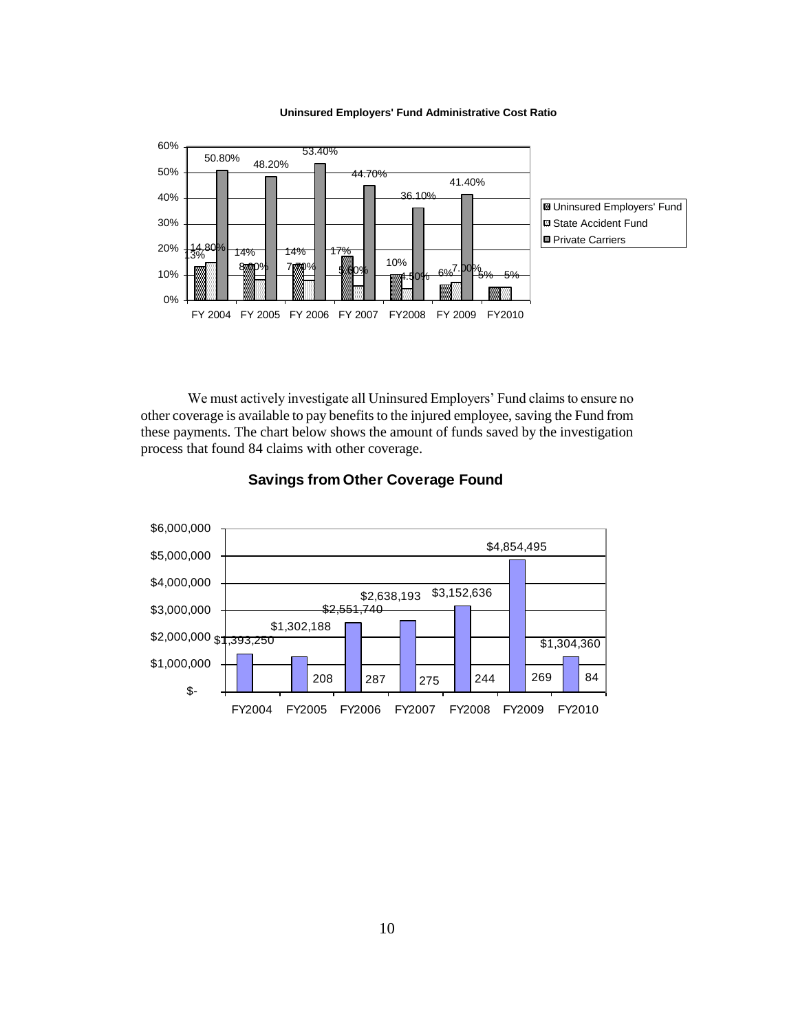

#### **Uninsured Employers' Fund Administrative Cost Ratio**

We must actively investigate all Uninsured Employers' Fund claims to ensure no other coverage is available to pay benefits to the injured employee, saving the Fund from these payments. The chart below shows the amount of funds saved by the investigation process that found 84 claims with other coverage.



## **Savings from Other Coverage Found**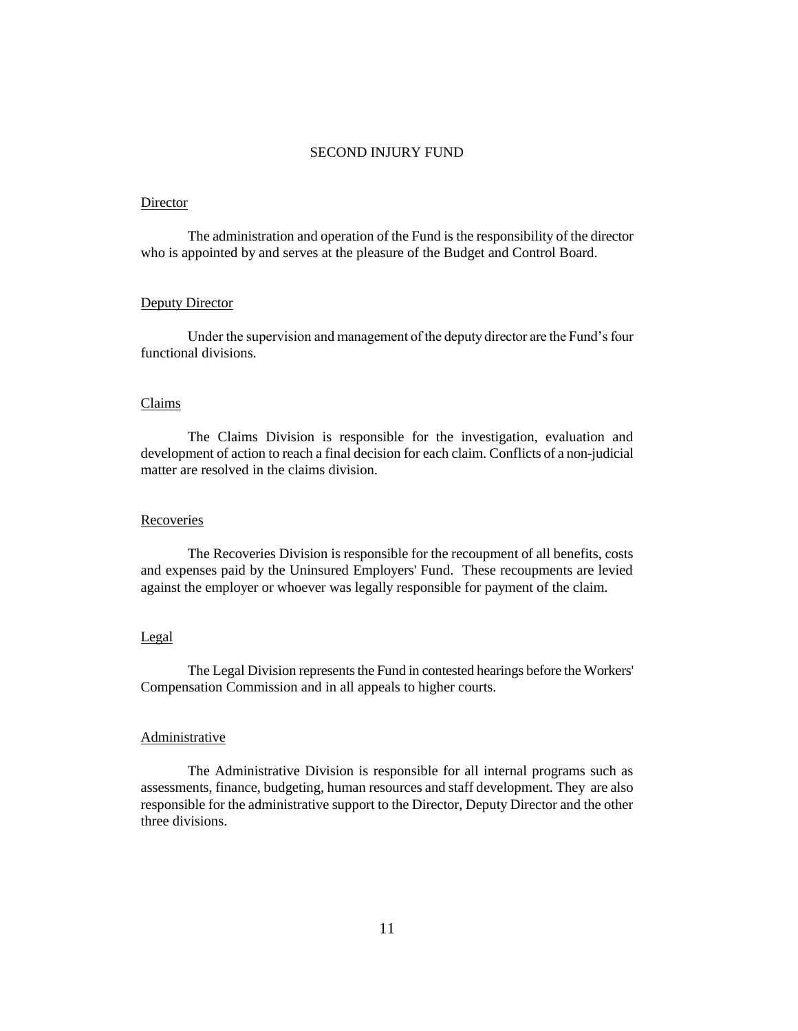#### SECOND INJURY FUND

#### Director

The administration and operation of the Fund is the responsibility of the director who is appointed by and serves at the pleasure of the Budget and Control Board.

#### Deputy Director

Under the supervision and management of the deputy director are the Fund"s four functional divisions.

### Claims

The Claims Division is responsible for the investigation, evaluation and development of action to reach a final decision for each claim. Conflicts of a non-judicial matter are resolved in the claims division.

#### Recoveries

The Recoveries Division is responsible for the recoupment of all benefits, costs and expenses paid by the Uninsured Employers' Fund. These recoupments are levied against the employer or whoever was legally responsible for payment of the claim.

#### Legal

The Legal Division represents the Fund in contested hearings before the Workers' Compensation Commission and in all appeals to higher courts.

### **Administrative**

The Administrative Division is responsible for all internal programs such as assessments, finance, budgeting, human resources and staff development. They are also responsible for the administrative support to the Director, Deputy Director and the other three divisions.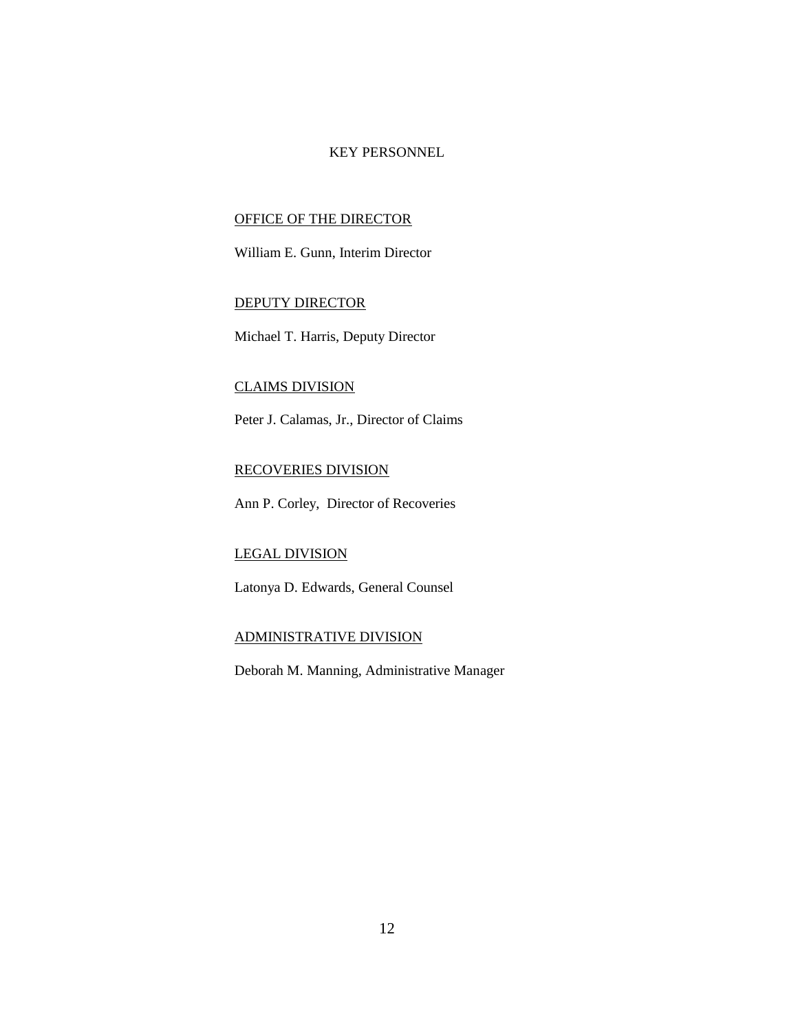### KEY PERSONNEL

## OFFICE OF THE DIRECTOR

William E. Gunn, Interim Director

### DEPUTY DIRECTOR

Michael T. Harris, Deputy Director

## CLAIMS DIVISION

Peter J. Calamas, Jr., Director of Claims

## RECOVERIES DIVISION

Ann P. Corley, Director of Recoveries

### LEGAL DIVISION

Latonya D. Edwards, General Counsel

### ADMINISTRATIVE DIVISION

Deborah M. Manning, Administrative Manager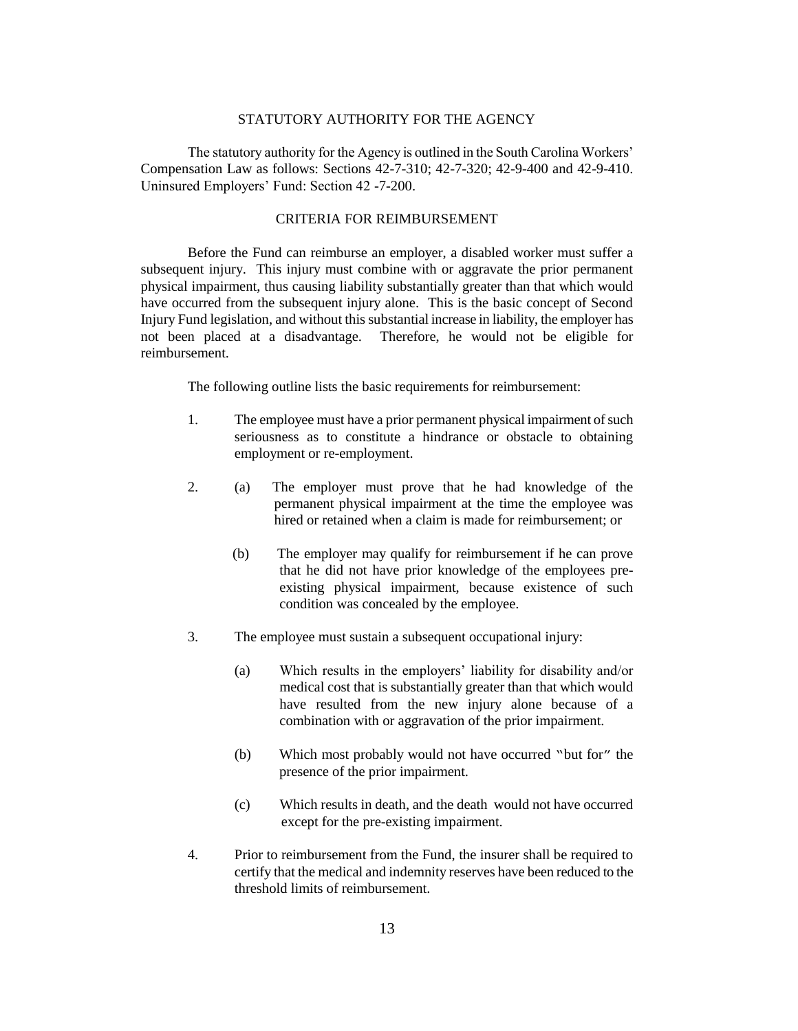#### STATUTORY AUTHORITY FOR THE AGENCY

The statutory authority for the Agency is outlined in the South Carolina Workers" Compensation Law as follows: Sections 42-7-310; 42-7-320; 42-9-400 and 42-9-410. Uninsured Employers" Fund: Section 42 -7-200.

#### CRITERIA FOR REIMBURSEMENT

Before the Fund can reimburse an employer, a disabled worker must suffer a subsequent injury. This injury must combine with or aggravate the prior permanent physical impairment, thus causing liability substantially greater than that which would have occurred from the subsequent injury alone. This is the basic concept of Second Injury Fund legislation, and without this substantial increase in liability, the employer has not been placed at a disadvantage. Therefore, he would not be eligible for reimbursement.

The following outline lists the basic requirements for reimbursement:

- 1. The employee must have a prior permanent physical impairment of such seriousness as to constitute a hindrance or obstacle to obtaining employment or re-employment.
- 2. (a) The employer must prove that he had knowledge of the permanent physical impairment at the time the employee was hired or retained when a claim is made for reimbursement; or
	- (b) The employer may qualify for reimbursement if he can prove that he did not have prior knowledge of the employees pre existing physical impairment, because existence of such condition was concealed by the employee.
- 3. The employee must sustain a subsequent occupational injury:
	- (a) Which results in the employers" liability for disability and/or medical cost that is substantially greater than that which would have resulted from the new injury alone because of a combination with or aggravation of the prior impairment.
	- (b) Which most probably would not have occurred "but for" the presence of the prior impairment.
	- (c) Which results in death, and the death would not have occurred except for the pre-existing impairment.
- 4. Prior to reimbursement from the Fund, the insurer shall be required to certify that the medical and indemnity reserves have been reduced to the threshold limits of reimbursement.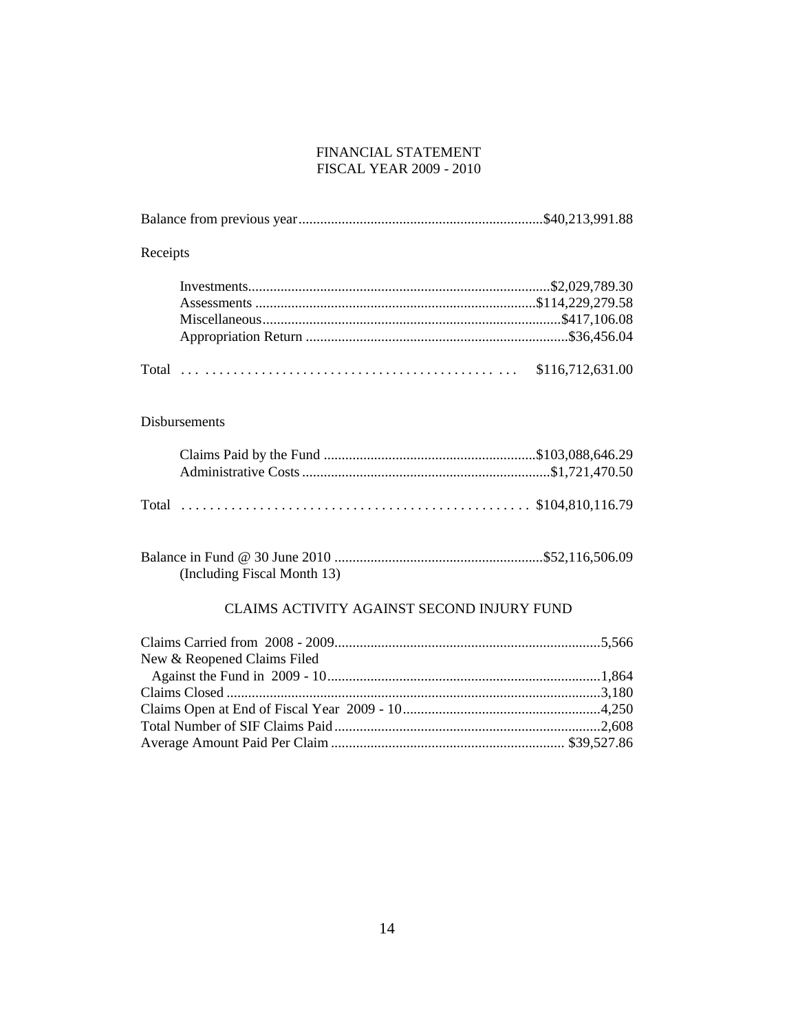### FINANCIAL STATEMENT FISCAL YEAR 2009 - 2010

| Receipts                      |                  |
|-------------------------------|------------------|
|                               |                  |
|                               | \$116,712,631.00 |
| $\mathbf{D}^*$ 1 $\mathbf{D}$ |                  |

## Disbursements

| (Including Fiscal Month 13) |  |
|-----------------------------|--|

## CLAIMS ACTIVITY AGAINST SECOND INJURY FUND

| New & Reopened Claims Filed |  |
|-----------------------------|--|
|                             |  |
|                             |  |
|                             |  |
|                             |  |
|                             |  |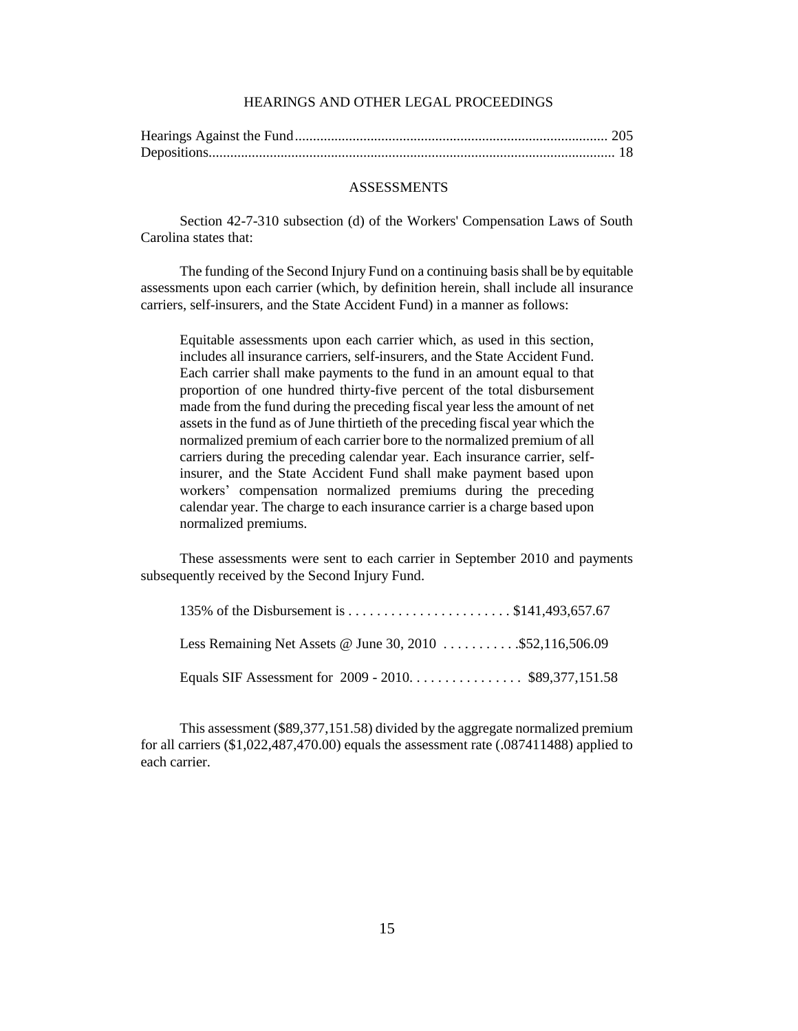### HEARINGS AND OTHER LEGAL PROCEEDINGS

#### ASSESSMENTS

Section 42-7-310 subsection (d) of the Workers' Compensation Laws of South Carolina states that:

The funding of the Second Injury Fund on a continuing basis shall be by equitable assessments upon each carrier (which, by definition herein, shall include all insurance carriers, self-insurers, and the State Accident Fund) in a manner as follows:

Equitable assessments upon each carrier which, as used in this section, includes all insurance carriers, self-insurers, and the State Accident Fund. Each carrier shall make payments to the fund in an amount equal to that proportion of one hundred thirty-five percent of the total disbursement made from the fund during the preceding fiscal year less the amount of net assets in the fund as of June thirtieth of the preceding fiscal year which the normalized premium of each carrier bore to the normalized premium of all carriers during the preceding calendar year. Each insurance carrier, selfinsurer, and the State Accident Fund shall make payment based upon workers" compensation normalized premiums during the preceding calendar year. The charge to each insurance carrier is a charge based upon normalized premiums.

These assessments were sent to each carrier in September 2010 and payments subsequently received by the Second Injury Fund.

| Less Remaining Net Assets @ June 30, 2010 \$52,116,506.09 |  |
|-----------------------------------------------------------|--|
|                                                           |  |

This assessment (\$89,377,151.58) divided by the aggregate normalized premium for all carriers (\$1,022,487,470.00) equals the assessment rate (.087411488) applied to each carrier.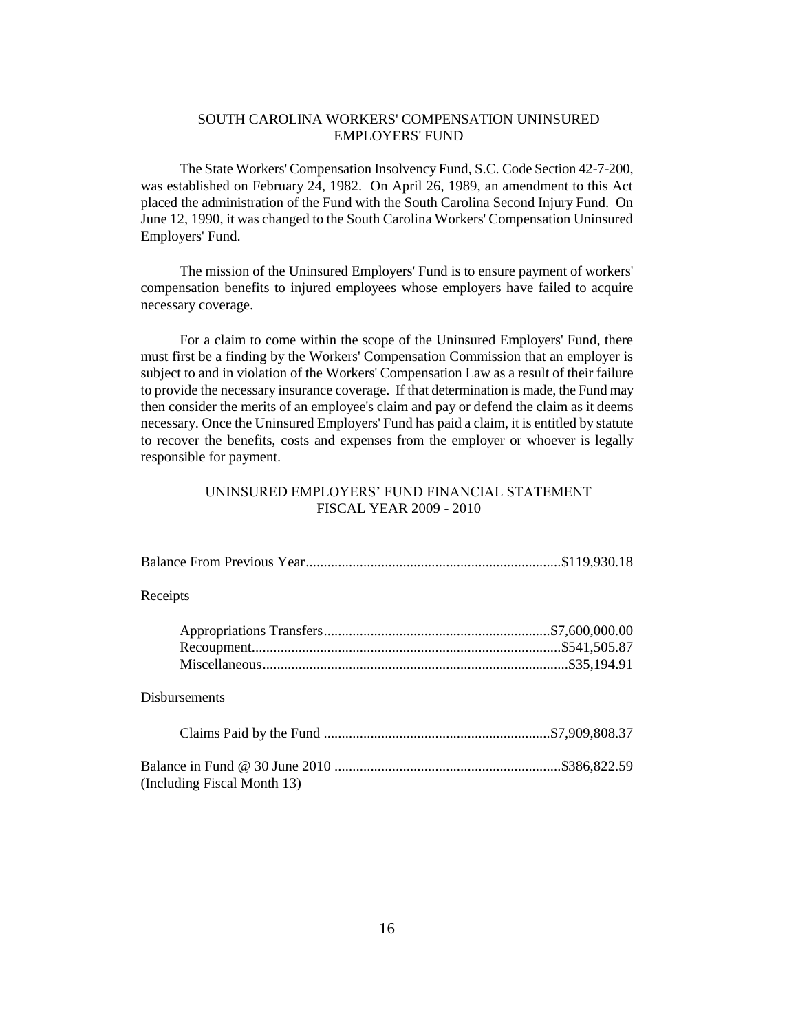### SOUTH CAROLINA WORKERS' COMPENSATION UNINSURED EMPLOYERS' FUND

The State Workers' Compensation Insolvency Fund, S.C. Code Section 42-7-200, was established on February 24, 1982. On April 26, 1989, an amendment to this Act placed the administration of the Fund with the South Carolina Second Injury Fund. On June 12, 1990, it was changed to the South Carolina Workers' Compensation Uninsured Employers' Fund.

The mission of the Uninsured Employers' Fund is to ensure payment of workers' compensation benefits to injured employees whose employers have failed to acquire necessary coverage.

For a claim to come within the scope of the Uninsured Employers' Fund, there must first be a finding by the Workers' Compensation Commission that an employer is subject to and in violation of the Workers' Compensation Law as a result of their failure to provide the necessary insurance coverage. If that determination is made, the Fund may then consider the merits of an employee's claim and pay or defend the claim as it deems necessary. Once the Uninsured Employers' Fund has paid a claim, it is entitled by statute to recover the benefits, costs and expenses from the employer or whoever is legally responsible for payment.

### UNINSURED EMPLOYERS" FUND FINANCIAL STATEMENT FISCAL YEAR 2009 - 2010

| Receipts             |  |
|----------------------|--|
|                      |  |
|                      |  |
|                      |  |
| <b>Disbursements</b> |  |
|                      |  |
|                      |  |

(Including Fiscal Month 13)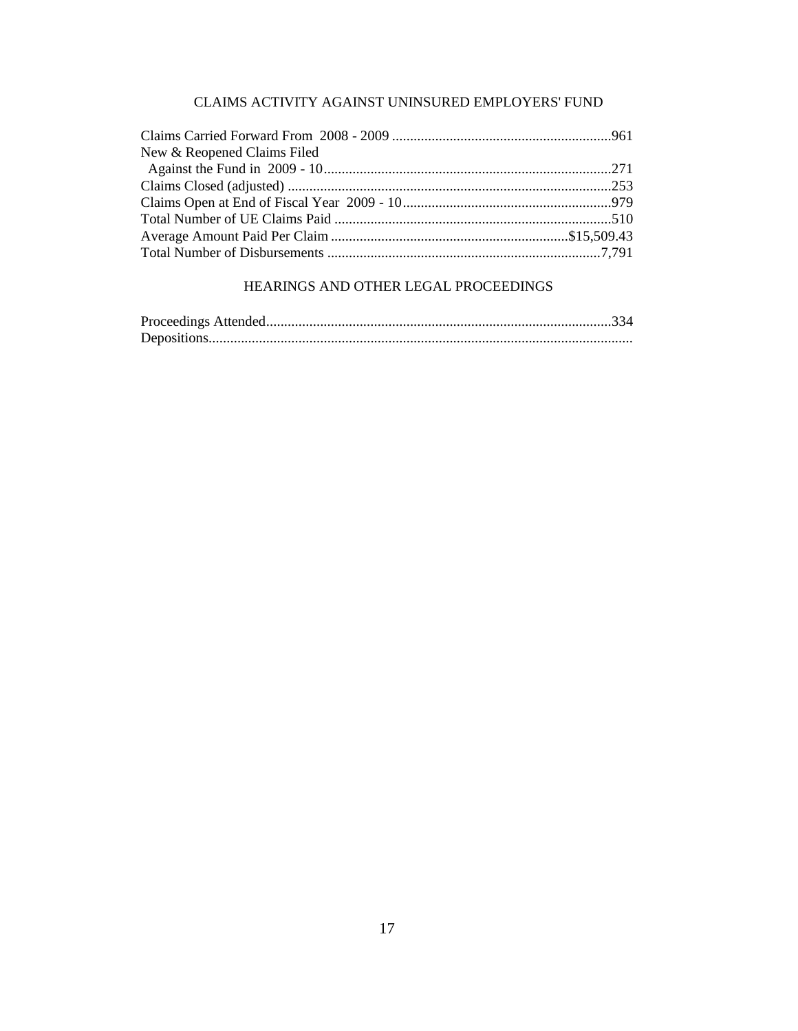## CLAIMS ACTIVITY AGAINST UNINSURED EMPLOYERS' FUND

| New & Reopened Claims Filed |  |
|-----------------------------|--|
|                             |  |
|                             |  |
|                             |  |
|                             |  |
|                             |  |
|                             |  |

## HEARINGS AND OTHER LEGAL PROCEEDINGS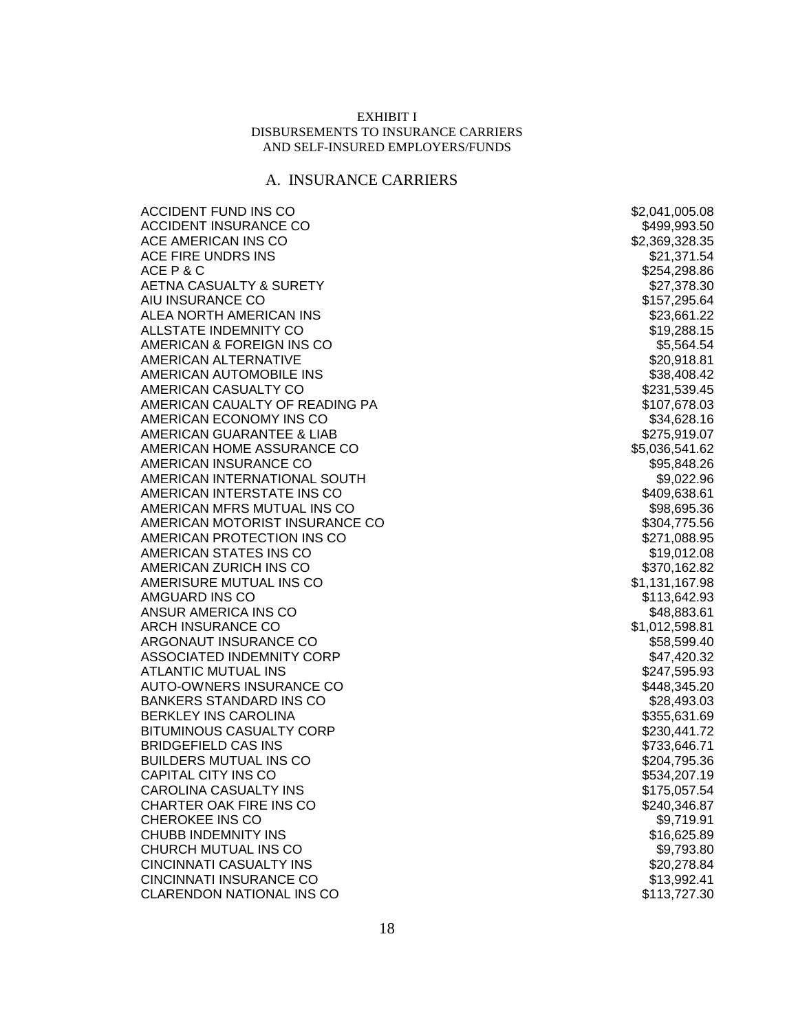### EXHIBIT I DISBURSEMENTS TO INSURANCE CARRIERS AND SELF-INSURED EMPLOYERS/FUNDS

# A. INSURANCE CARRIERS

| <b>ACCIDENT FUND INS CO</b>      | \$2,041,005.08 |
|----------------------------------|----------------|
| ACCIDENT INSURANCE CO            | \$499,993.50   |
| ACE AMERICAN INS CO              | \$2,369,328.35 |
| ACE FIRE UNDRS INS               | \$21,371.54    |
| ACE P & C                        | \$254,298.86   |
| AETNA CASUALTY & SURETY          | \$27,378.30    |
| AIU INSURANCE CO                 | \$157,295.64   |
| ALEA NORTH AMERICAN INS          | \$23,661.22    |
| ALLSTATE INDEMNITY CO            | \$19,288.15    |
| AMERICAN & FOREIGN INS CO        | \$5,564.54     |
| AMERICAN ALTERNATIVE             | \$20,918.81    |
| AMERICAN AUTOMOBILE INS          | \$38,408.42    |
| AMERICAN CASUALTY CO             | \$231,539.45   |
| AMERICAN CAUALTY OF READING PA   | \$107,678.03   |
| AMERICAN ECONOMY INS CO          | \$34,628.16    |
| AMERICAN GUARANTEE & LIAB        | \$275,919.07   |
| AMERICAN HOME ASSURANCE CO       | \$5,036,541.62 |
| AMERICAN INSURANCE CO            | \$95,848.26    |
| AMERICAN INTERNATIONAL SOUTH     | \$9,022.96     |
| AMERICAN INTERSTATE INS CO       | \$409,638.61   |
| AMERICAN MFRS MUTUAL INS CO      | \$98,695.36    |
| AMERICAN MOTORIST INSURANCE CO   | \$304,775.56   |
| AMERICAN PROTECTION INS CO       | \$271,088.95   |
| AMERICAN STATES INS CO           | \$19,012.08    |
| AMERICAN ZURICH INS CO           | \$370,162.82   |
| AMERISURE MUTUAL INS CO          | \$1,131,167.98 |
| AMGUARD INS CO                   | \$113,642.93   |
| ANSUR AMERICA INS CO             | \$48,883.61    |
| ARCH INSURANCE CO                | \$1,012,598.81 |
| ARGONAUT INSURANCE CO            | \$58,599.40    |
| ASSOCIATED INDEMNITY CORP        | \$47,420.32    |
| <b>ATLANTIC MUTUAL INS</b>       | \$247,595.93   |
| AUTO-OWNERS INSURANCE CO         | \$448,345.20   |
| <b>BANKERS STANDARD INS CO</b>   | \$28,493.03    |
| <b>BERKLEY INS CAROLINA</b>      | \$355,631.69   |
| <b>BITUMINOUS CASUALTY CORP</b>  | \$230,441.72   |
| <b>BRIDGEFIELD CAS INS</b>       | \$733,646.71   |
| <b>BUILDERS MUTUAL INS CO</b>    | \$204,795.36   |
| CAPITAL CITY INS CO              | \$534,207.19   |
| CAROLINA CASUALTY INS            | \$175,057.54   |
| CHARTER OAK FIRE INS CO          | \$240,346.87   |
| CHEROKEE INS CO                  | \$9,719.91     |
| <b>CHUBB INDEMNITY INS</b>       | \$16,625.89    |
| CHURCH MUTUAL INS CO             | \$9,793.80     |
| <b>CINCINNATI CASUALTY INS</b>   | \$20,278.84    |
| CINCINNATI INSURANCE CO          | \$13,992.41    |
| <b>CLARENDON NATIONAL INS CO</b> | \$113,727.30   |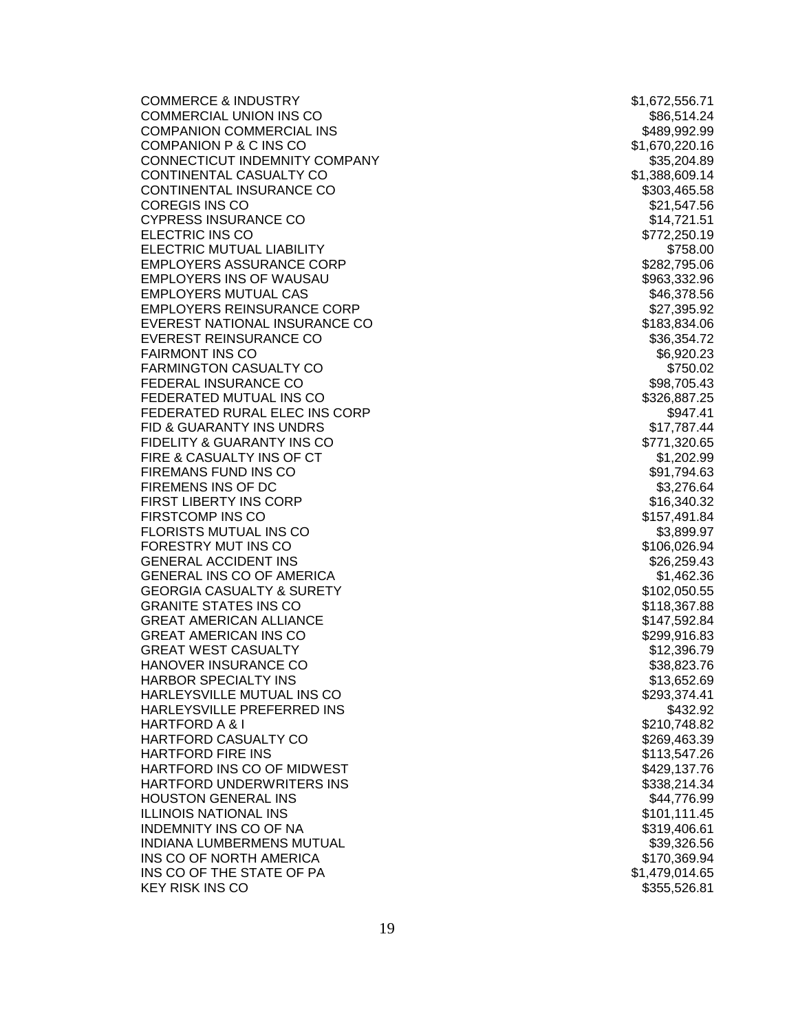COMMERCE & INDUSTRY **\$1,672,556.71** COMMERCIAL UNION INS CONSIDERING THE SECOND SECOND SECOND SECOND SECOND SECOND SECOND SECOND SECOND SECOND SECOND SECOND SECOND SECOND SECOND SECOND SECOND SECOND SECOND SECOND SECOND SECOND SECOND SECOND SECOND SECOND SEC COMPANION COMMERCIAL INS **\$489,992.99** \$489,992.99 COMPANION P & C INS CO \$1,670,220.16 CONNECTICUT INDEMNITY COMPANY **\$35,204.89** CONTINENTAL CASUALTY CO **\$1,388,609.14** CONTINENTAL INSURANCE CO **\$303,465.58** \$303,465.58 COREGIS INS CO **\$21,547.56** CYPRESS INSURANCE CO **\$14,721.51** \$14,721.51 ELECTRIC INS CO **\$772,250.19** ELECTRIC MUTUAL LIABILITY **\$758.00** \$758.00 EMPLOYERS ASSURANCE CORP \$282,795.06 EMPLOYERS INS OF WAUSAU **& Example 2018** 2019 12:05:06 \$963,332.96 EMPLOYERS MUTUAL CAS \$46,378.56 EMPLOYERS REINSURANCE CORP \$27,395.92 EVEREST NATIONAL INSURANCE CO \$183,834.06 EVEREST REINSURANCE CO **\$36,354.72** \$36,354.72 FAIRMONT INS CO **\$6,920.23** FARMINGTON CASUALTY CO **\$750.02** FEDERAL INSURANCE CO **\$98,705.43** FEDERATED MUTUAL INS CO **\$326,887.25** FEDERATED RURAL ELEC INS CORP \$947.41 FID & GUARANTY INS UNDRS **\$17,787.44** FIDELITY & GUARANTY INS CO **\$771,320.65** FIRE & CASUALTY INS OF CT And the state of the state of the state of the state of the state of the state of the state of the state of the state of the state of the state of the state of the state of the state of the state FIREMANS FUND INS CO **\$91,794.63** FIREMENS INS OF DC 63,276.64 FIRST LIBERTY INS CORP FIRSTCOMP INS CO **\$157,491.84** FLORISTS MUTUAL INS CO **\$3,899.97** FORESTRY MUT INS CO **\$106,026.94** GENERAL ACCIDENT INS NATURAL AND SERVICE SERVICE SERVICE SERVICE SERVICE SERVICE SERVICE SERVICE SERVICE SERVICE GENERAL INS CO OF AMERICA \$1,462.36 GEORGIA CASUALTY & SURETY \$102,050.55 GRANITE STATES INS CONTROL 2008 118,367.88 GREAT AMERICAN ALLIANCE **\$147,592.84** \$147,592.84 GREAT AMERICAN INS CO **\$299,916.83** GREAT WEST CASUALTY **12,396.79** \$12,396.79 HANOVER INSURANCE CO **\$38,823.76** HARBOR SPECIALTY INS \$13,652.69 HARLEYSVILLE MUTUAL INS CO **\$293,374.41** HARLEYSVILLE PREFERRED INS THE RESERVIEW OF SASSAGE AND SASSESSED ASSESSED. HARTFORD A & I  $$210,748.82$ HARTFORD CASUALTY CO \$269,463.39 HARTFORD FIRE INS \$113,547.26 HARTFORD INS CO OF MIDWEST **\$429,137.76** HARTFORD UNDERWRITERS INS \$338,214.34 HOUSTON GENERAL INS NATURAL AND SAFEKEEPING ASSAULT AND SAFEKEEPING ASSAULT AT A SAFEKEEPING ON A SAFEKEEPING A ILLINOIS NATIONAL INS \$101,111.45 INDEMNITY INS CO OF NA \$319,406.61 INDIANA LUMBERMENS MUTUAL **And the Sandware of the Sandware S**39,326.56 INS CO OF NORTH AMERICA  $$170,369.94$ INS CO OF THE STATE OF PA  $$1,479,014.65$ KEY RISK INS CO **\$355,526.81** 

\$16,340.32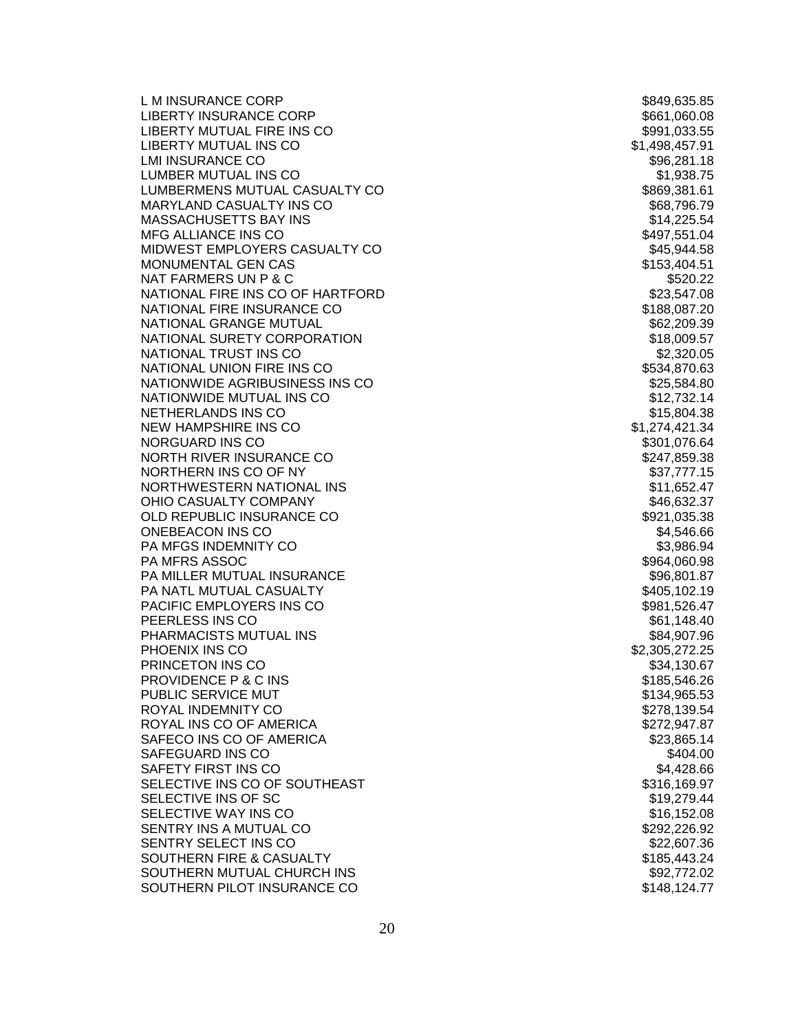L M INSURANCE CORP **\$849,635.85** LIBERTY INSURANCE CORP \$661,060.08 LIBERTY MUTUAL FIRE INS CO **\$991,033.55** LIBERTY MUTUAL INS CO **\$1,498,457.91** LMI INSURANCE CO **\$96,281.18** LUMBER MUTUAL INS CONTROL 2008 1.938.75 LUMBERMENS MUTUAL CASUALTY CO **\$869,381.61** MARYLAND CASUALTY INS CONTROL 2008 12:00 12:00 \$68,796.79 \$68,796.79 MASSACHUSETTS BAY INS \$14,225.54 MFG ALLIANCE INS CO **\$497,551.04** MIDWEST EMPLOYERS CASUALTY CO **\$45,944.58** MONUMENTAL GEN CAS \$153,404.51  $NAT$  FARMERS UN P & C  $$520.22$ NATIONAL FIRE INS CO OF HARTFORD \$23,547.08 NATIONAL FIRE INSURANCE CONTROL 2008 188,087.20 NATIONAL GRANGE MUTUAL **\$62,209.39** \$62,209.39 NATIONAL SURETY CORPORATION \$18,009.57 NATIONAL TRUST INS CO \$2,320.05 NATIONAL UNION FIRE INS CO **\$534,870.63** NATIONWIDE AGRIBUSINESS INS CO **\$25,584.80** \$25,584.80 NATIONWIDE MUTUAL INS CO **\$12,732.14** \$12,732.14 NETHERLANDS INS CO **\$15,804.38** NEW HAMPSHIRE INS CO **\$1,274,421.34** NORGUARD INS CO \$301,076.64 NORTH RIVER INSURANCE CO **\$247,859.38** NORTHERN INS CO OF NY **\$37,777.15** NORTHWESTERN NATIONAL INS \$11,652.47 OHIO CASUALTY COMPANY **\$46,632.37** OLD REPUBLIC INSURANCE CO **\$921,035.38** \$921,035.38 ONEBEACON INS CO 34,546.66 PA MFGS INDEMNITY CO PA MFRS ASSOC \$964,060.98 PA MILLER MUTUAL INSURANCE \$96,801.87 PA NATL MUTUAL CASUALTY **\$405,102.19** \$405,102.19 PACIFIC EMPLOYERS INS CO **\$981,526.47** PEERLESS INS CO \$61,148.40 PHARMACISTS MUTUAL INS \$84,907.96 PHOENIX INS CO \$2,305,272.25 PRINCETON INS CO \$34,130.67 PROVIDENCE P & C INS \$185,546.26 PUBLIC SERVICE MUT **\$134,965.53** ROYAL INDEMNITY CO **\$278,139.54** ROYAL INS CO OF AMERICA \$272,947.87 SAFECO INS CO OF AMERICA \$23,865.14 SAFEGUARD INS CO **\$404.00** SAFETY FIRST INS CO **\$4,428.66** SELECTIVE INS CO OF SOUTHEAST **\$316,169.97** \$316,169.97 SELECTIVE INS OF SC \$19,279.44 SELECTIVE WAY INS CO **\$16,152.08** SENTRY INS A MUTUAL CO **\$292,226.92** SENTRY SELECT INS CO \$22,607.36 SOUTHERN FIRE & CASUALTY **\$185,443.24** SOUTHERN MUTUAL CHURCH INS \$92,772.02 SOUTHERN PILOT INSURANCE CO **\$148,124.77**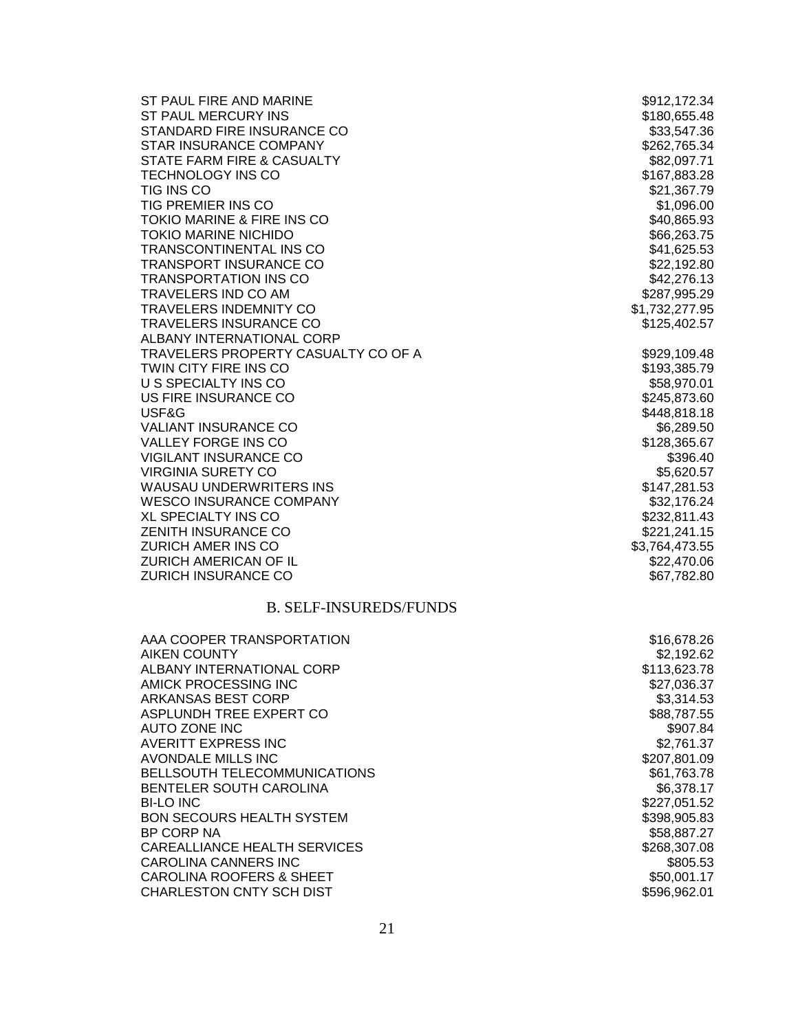| ST PAUL FIRE AND MARINE             | \$912,172.34   |
|-------------------------------------|----------------|
| ST PAUL MERCURY INS                 | \$180,655.48   |
| STANDARD FIRE INSURANCE CO          | \$33,547.36    |
| <b>STAR INSURANCE COMPANY</b>       | \$262,765.34   |
| STATE FARM FIRE & CASUALTY          | \$82,097.71    |
| <b>TECHNOLOGY INS CO</b>            | \$167,883.28   |
| <b>TIG INS CO</b>                   | \$21,367.79    |
| <b>TIG PREMIER INS CO</b>           | \$1,096.00     |
| TOKIO MARINE & FIRE INS CO          | \$40,865.93    |
| <b>TOKIO MARINE NICHIDO</b>         | \$66,263.75    |
| <b>TRANSCONTINENTAL INS CO</b>      | \$41,625.53    |
| <b>TRANSPORT INSURANCE CO</b>       | \$22,192.80    |
| <b>TRANSPORTATION INS CO</b>        | \$42,276.13    |
| <b>TRAVELERS IND CO AM</b>          | \$287,995.29   |
| <b>TRAVELERS INDEMNITY CO</b>       | \$1,732,277.95 |
| <b>TRAVELERS INSURANCE CO</b>       | \$125,402.57   |
| ALBANY INTERNATIONAL CORP           |                |
| TRAVELERS PROPERTY CASUALTY CO OF A | \$929,109.48   |
| TWIN CITY FIRE INS CO               | \$193,385.79   |
| U S SPECIALTY INS CO                | \$58,970.01    |
| US FIRE INSURANCE CO                | \$245,873.60   |
| USF&G                               | \$448,818.18   |
| <b>VALIANT INSURANCE CO</b>         | \$6,289.50     |
| <b>VALLEY FORGE INS CO</b>          | \$128,365.67   |
| <b>VIGILANT INSURANCE CO</b>        | \$396.40       |
| <b>VIRGINIA SURETY CO</b>           | \$5,620.57     |
| <b>WAUSAU UNDERWRITERS INS</b>      | \$147,281.53   |
| <b>WESCO INSURANCE COMPANY</b>      | \$32,176.24    |
| <b>XL SPECIALTY INS CO</b>          | \$232,811.43   |
| <b>ZENITH INSURANCE CO</b>          | \$221,241.15   |
| <b>ZURICH AMER INS CO</b>           | \$3,764,473.55 |
| ZURICH AMERICAN OF IL               | \$22,470.06    |
| <b>ZURICH INSURANCE CO</b>          | \$67,782.80    |
|                                     |                |

### B. SELF -INSUREDS/FUNDS

| AAA COOPER TRANSPORTATION           | \$16,678.26  |
|-------------------------------------|--------------|
| AIKEN COUNTY                        | \$2,192.62   |
| ALBANY INTERNATIONAL CORP           | \$113,623.78 |
| AMICK PROCESSING INC                | \$27,036.37  |
| <b>ARKANSAS BEST CORP</b>           | \$3,314.53   |
| ASPLUNDH TREE EXPERT CO             | \$88,787,55  |
| AUTO ZONE INC                       | \$907.84     |
| AVERITT EXPRESS INC                 | \$2,761.37   |
| AVONDALE MILLS INC                  | \$207,801.09 |
| <b>BELLSOUTH TELECOMMUNICATIONS</b> | \$61,763.78  |
| BENTELER SOUTH CAROLINA             | \$6,378.17   |
| <b>BI-LO INC</b>                    | \$227,051.52 |
| <b>BON SECOURS HEALTH SYSTEM</b>    | \$398,905.83 |
| BP CORP NA                          | \$58,887.27  |
| CAREALLIANCE HEALTH SERVICES        | \$268,307.08 |
| CAROLINA CANNERS INC                | \$805.53     |
| <b>CAROLINA ROOFERS &amp; SHEET</b> | \$50,001.17  |
| <b>CHARLESTON CNTY SCH DIST</b>     | \$596,962.01 |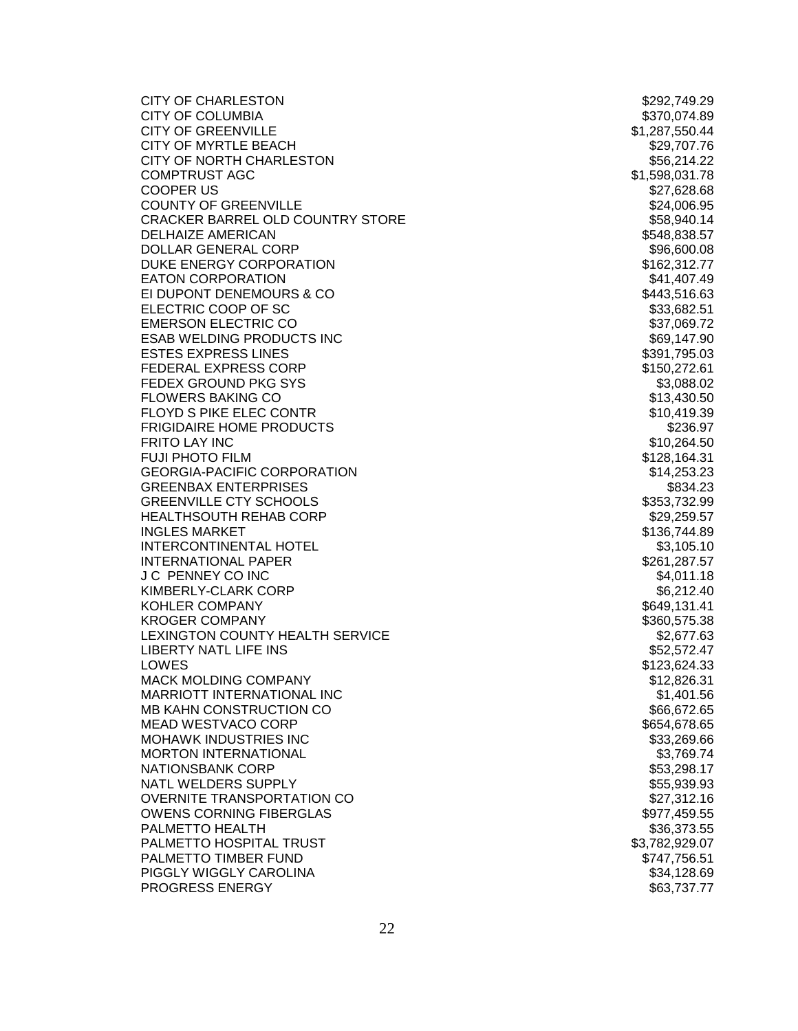| <b>CITY OF CHARLESTON</b>          | \$292,749.29   |
|------------------------------------|----------------|
| <b>CITY OF COLUMBIA</b>            | \$370,074.89   |
| <b>CITY OF GREENVILLE</b>          | \$1,287,550.44 |
| CITY OF MYRTLE BEACH               | \$29,707.76    |
| CITY OF NORTH CHARLESTON           | \$56,214.22    |
| <b>COMPTRUST AGC</b>               | \$1,598,031.78 |
| <b>COOPER US</b>                   | \$27,628.68    |
| <b>COUNTY OF GREENVILLE</b>        | \$24,006.95    |
| CRACKER BARREL OLD COUNTRY STORE   | \$58,940.14    |
| <b>DELHAIZE AMERICAN</b>           | \$548,838.57   |
| DOLLAR GENERAL CORP                | \$96,600.08    |
| DUKE ENERGY CORPORATION            | \$162,312.77   |
| <b>EATON CORPORATION</b>           | \$41,407.49    |
| EI DUPONT DENEMOURS & CO           | \$443,516.63   |
| ELECTRIC COOP OF SC                | \$33,682.51    |
| <b>EMERSON ELECTRIC CO</b>         | \$37,069.72    |
| <b>ESAB WELDING PRODUCTS INC</b>   | \$69,147.90    |
| <b>ESTES EXPRESS LINES</b>         | \$391,795.03   |
| <b>FEDERAL EXPRESS CORP</b>        | \$150,272.61   |
| FEDEX GROUND PKG SYS               | \$3,088.02     |
| <b>FLOWERS BAKING CO</b>           | \$13,430.50    |
| FLOYD S PIKE ELEC CONTR            |                |
| <b>FRIGIDAIRE HOME PRODUCTS</b>    | \$10,419.39    |
|                                    | \$236.97       |
| <b>FRITO LAY INC</b>               | \$10,264.50    |
| <b>FUJI PHOTO FILM</b>             | \$128,164.31   |
| <b>GEORGIA-PACIFIC CORPORATION</b> | \$14,253.23    |
| <b>GREENBAX ENTERPRISES</b>        | \$834.23       |
| <b>GREENVILLE CTY SCHOOLS</b>      | \$353,732.99   |
| <b>HEALTHSOUTH REHAB CORP</b>      | \$29,259.57    |
| <b>INGLES MARKET</b>               | \$136,744.89   |
| <b>INTERCONTINENTAL HOTEL</b>      | \$3,105.10     |
| <b>INTERNATIONAL PAPER</b>         | \$261,287.57   |
| J C PENNEY CO INC                  | \$4,011.18     |
| KIMBERLY-CLARK CORP                | \$6,212.40     |
| <b>KOHLER COMPANY</b>              | \$649,131.41   |
| <b>KROGER COMPANY</b>              | \$360,575.38   |
| LEXINGTON COUNTY HEALTH SERVICE    | \$2,677.63     |
| <b>LIBERTY NATL LIFE INS</b>       | \$52,572.47    |
| LOWES                              | \$123,624.33   |
| MACK MOLDING COMPANY               | \$12,826.31    |
| MARRIOTT INTERNATIONAL INC         | \$1,401.56     |
| MB KAHN CONSTRUCTION CO            | \$66,672.65    |
| <b>MEAD WESTVACO CORP</b>          | \$654,678.65   |
| <b>MOHAWK INDUSTRIES INC</b>       | \$33,269.66    |
| <b>MORTON INTERNATIONAL</b>        | \$3,769.74     |
| <b>NATIONSBANK CORP</b>            | \$53,298.17    |
| NATL WELDERS SUPPLY                | \$55,939.93    |
| OVERNITE TRANSPORTATION CO         | \$27,312.16    |
| <b>OWENS CORNING FIBERGLAS</b>     | \$977,459.55   |
| PALMETTO HEALTH                    | \$36,373.55    |
| PALMETTO HOSPITAL TRUST            | \$3,782,929.07 |
| PALMETTO TIMBER FUND               | \$747,756.51   |
| PIGGLY WIGGLY CAROLINA             | \$34,128.69    |
| PROGRESS ENERGY                    | \$63,737.77    |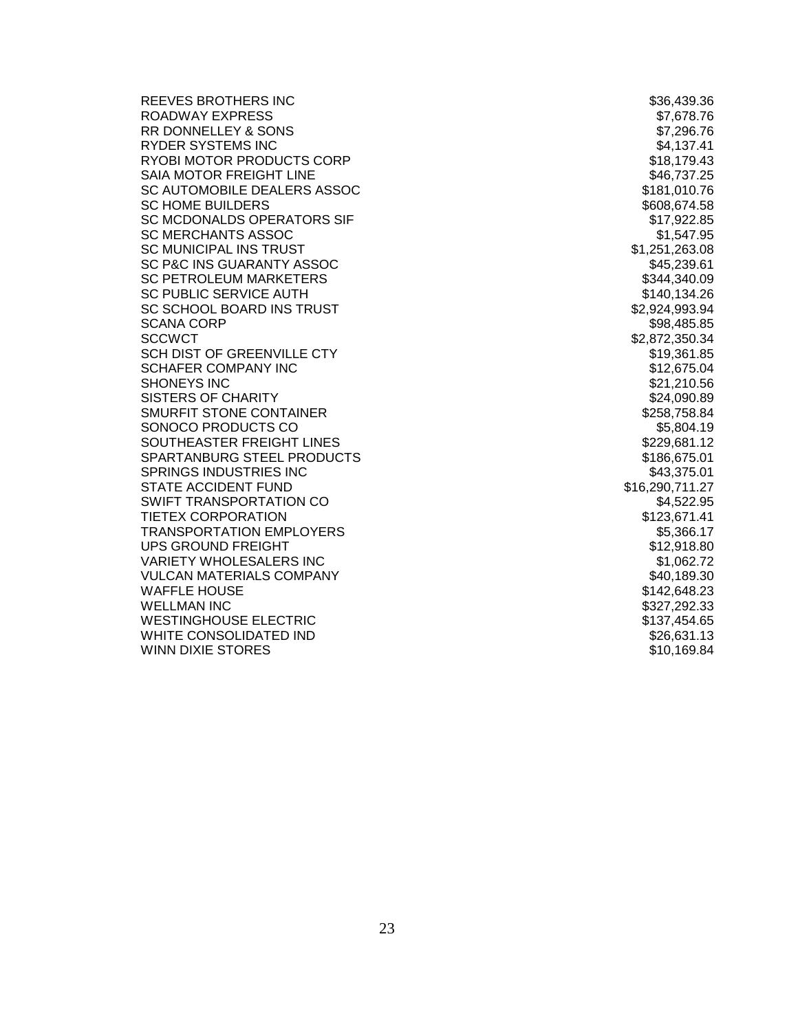REEVES BROTHERS INC **\$36,439.36** ROADWAY EXPRESS \$7,678.76 RR DONNELLEY & SONS \$7,296.76 RYDER SYSTEMS INC **the set of the set of the set of the set of the set of the set of the set of the set of the set of the set of the set of the set of the set of the set of the set of the set of the set of the set of the s** RYOBI MOTOR PRODUCTS CORP \$18,179.43 SAIA MOTOR FREIGHT LINE **\$46,737.25** SC AUTOMOBILE DEALERS ASSOC **\$181,010.76** SC HOME BUILDERS \$608,674.58 SC MCDONALDS OPERATORS SIF \$17,922.85 SC MERCHANTS ASSOC **\$1,547.95** SC MUNICIPAL INS TRUST **\$1,251,263.08** SC P&C INS GUARANTY ASSOC \$45,239.61 SC PETROLEUM MARKETERS SC PUBLIC SERVICE AUTH \$140,134.26 SC SCHOOL BOARD INS TRUST \$2,924,993.94 SCANA CORP **\$98,485.85** SCCWCT \$2,872,350.34 SCH DIST OF GREENVILLE CTY **\$19,361.85** SCHAFER COMPANY INC **\$12,675.04** \$12,675.04 SHONEYS INC \$21,210.56 SISTERS OF CHARITY **\$24,090.89** \$24,090.89 SMURFIT STONE CONTAINER **\$258,758.84** SONOCO PRODUCTS CO **\$5,804.19** SOUTHEASTER FREIGHT LINES **\$229,681.12** SPARTANBURG STEEL PRODUCTS \$186,675.01 SPRINGS INDUSTRIES INC **\$43,375.01** \$43,375.01 STATE ACCIDENT FUND \$16,290,711.27 SWIFT TRANSPORTATION CO **\$4,522.95** TIETEX CORPORATION **\$123,671.41** TRANSPORTATION EMPLOYERS **\$5,366.17** UPS GROUND FREIGHT  $$^{8}12.918.80$ VARIETY WHOLESALERS INC **\$1,062.72** VULCAN MATERIALS COMPANY **\$40,189.30** \$40,189.30 WAFFLE HOUSE \$142,648.23 WELLMAN INC \$327,292.33 WESTINGHOUSE ELECTRIC **\$137,454.65** WHITE CONSOLIDATED IND **\$26,631.13** WINN DIXIE STORES \$10,169.84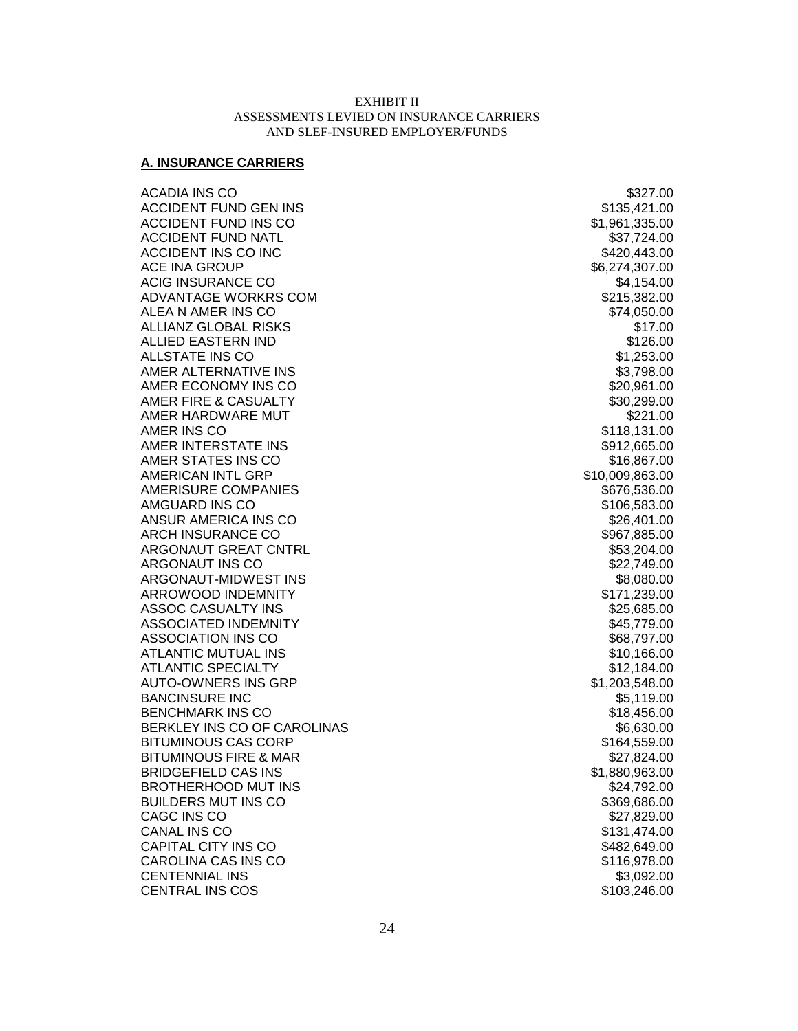#### EXHIBIT II ASSESSMENTS LEVIED ON INSURANCE CARRIERS AND SLEF-INSURED EMPLOYER/FUNDS

#### **A. INSURANCE CARRIERS**

ACADIA INS CO \$327.00 ACCIDENT FUND GEN INS **\$135,421.00** ACCIDENT FUND INS CO **\$1,961,335.00** ACCIDENT FUND NATL **\$37,724.00** ACCIDENT INS CO INC **ACCIDENT INS** CO INC ACE INA GROUP \$6,274,307.00 ACIG INSURANCE CO **\$4,154.00** ADVANTAGE WORKRS COM **\$215,382.00** ALEA N AMER INS CO **\$74,050.00** ALLIANZ GLOBAL RISKS \$17.00 ALLIED EASTERN IND \$126.00 ALLSTATE INS CO **\$1,253.00** AMER ALTERNATIVE INS \$3,798.00 AMER ECONOMY INS CO AMER FIRE & CASUALTY **\$30,299.00** \$30,299.00 AMER HARDWARE MUT **ALL AND SEE ALL ASSESSED ASSAULT** A S221.00 AMER INS CO **\$118,131.00** AMER INTERSTATE INS THE RESERVE OF THE SERVE AND THE SERVE ASSESSED AND A SERVE AND STRUCK AND STRUCK AND STRUCK AMER STATES INS CO AMERICAN INTL GRP \$10,009,863.00 AMERISURE COMPANIES **\$676,536.00** \$676,536.00 AMGUARD INS CO \$106,583.00 ANSUR AMERICA INS CO \$26,401.00 ARCH INSURANCE CO **\$967,885.00** \$967,885.00 ARGONAUT GREAT CNTRL **\$53,204.00** \$53,204.00 ARGONAUT INS CO **\$22,749.00** ARGONAUT-MIDWEST INS \$8,080.00 ARROWOOD INDEMNITY **ARROWOOD IN SEXUAL ARROW** ASSOC CASUALTY INS **\$25,685.00** \$25,685.00 ASSOCIATED INDEMNITY **\$45,779.00** ASSOCIATION INS CO **\$68,797.00** ATLANTIC MUTUAL INS **ATLANTIC MUTUAL INS** ATLANTIC SPECIALTY **12,184.00** \$12,184.00 AUTO-OWNERS INS GRP  $$1,203,548.00$ BANCINSURE INC \$5,119.00 BENCHMARK INS CO **\$18,456.00** \$18,456.00 BERKLEY INS CO OF CAROLINAS **\$6,630.00** BITUMINOUS CAS CORP \$164,559.00 BITUMINOUS FIRE & MAR \$27,824.00 BRIDGEFIELD CAS INS \$1,880,963.00 BROTHERHOOD MUT INS \$24,792.00 BUILDERS MUT INS CO **\$369,686.00** \$369,686.00 CAGC INS CO **\$27,829.00** CANAL INS CO 612 SEPTEMBER 1999 STATES AND STATES AND STATES AND STATES AND STATES AND STATES AND STATES AND STATES AND STATES AND STATES AND STATES AND STATES AND STATES AND STATES AND STATES AND STATES AND STATES AND STA CAPITAL CITY INS CO **\$482,649.00** CAROLINA CAS INS CO \$116,978.00 CENTENNIAL INS \$3,092.00 CENTRAL INS COS \$103,246.00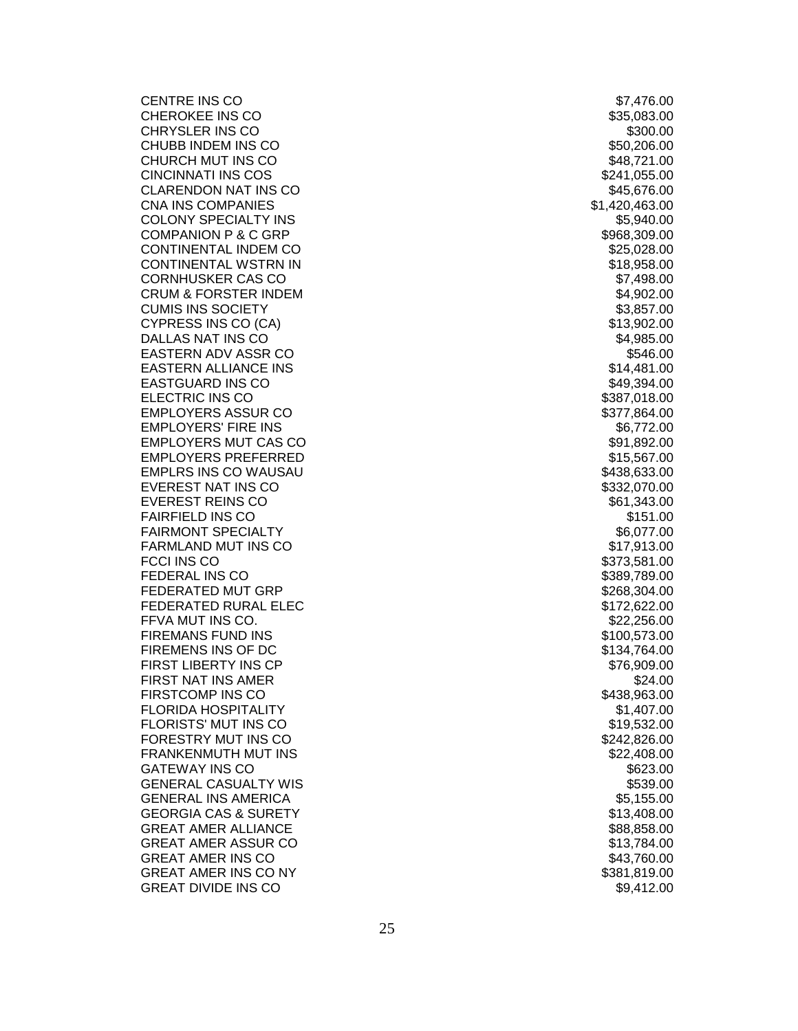CENTRE INS CO \$7,476.00 CHEROKEE INS CO \$35,083.00 CHRYSLER INS CO. CHUBB INDEM INS CO **\$50,206.00** \$50,206.00 CHURCH MUT INS CO **\$48,721.00** CINCINNATI INS COS \$241,055.00 CLARENDON NAT INS CO **\$45,676.00** \$45,676.00 CNA INS COMPANIES \$1,420,463.00 COLONY SPECIALTY INS THE RESERVE SERVE SERVER SERVER SERVER SERVER SERVER SERVER SERVER SERVER SERVER SERVER S COMPANION P & C GRP \$968,309.00 CONTINENTAL INDEM CO **\$25,028.00** CONTINENTAL WSTRN IN \$18,958.00 CORNHUSKER CAS CO \$7,498.00 CRUM & FORSTER INDEM  $$4,902.00$ CUMIS INS SOCIETY **\$3,857.00** CYPRESS INS CO (CA) \$13,902.00 DALLAS NAT INS CO \$4,985.00 EASTERN ADV ASSR CO \$546.00 EASTERN ALLIANCE INS \$14,481.00 EASTGUARD INS CO ELECTRIC INS CO **\$387,018.00** EMPLOYERS ASSUR CO **\$377,864.00** EMPLOYERS' FIRE INS \$6,772.00 EMPLOYERS MUT CAS CO **\$91,892.00** \$91,892.00 EMPLOYERS PREFERRED \$15,567.00 EMPLRS INS CO WAUSAU \$438,633.00 EVEREST NAT INS CO **\$332,070.00** EVEREST REINS CO **\$61,343.00** \$61,343.00 FAIRFIELD INS CO **\$151.00** FAIRMONT SPECIALTY **ALCORATIVE SELLER SELLER SELLER** SELLER SELLER SELLER SELLER SELLER SELLER SELLER SELLER SELL FARMLAND MUT INS CO **\$17,913.00** FCCI INS CO \$373,581.00 FEDERAL INS CO \$389,789.00 FEDERATED MUT GRP \$268,304.00 FEDERATED RURAL ELEC \$172,622.00 FFVA MUT INS CO. **\$22,256.00** FIREMANS FUND INS **the set of the set of the set of the set of the set of the set of the set of the set of the set of the set of the set of the set of the set of the set of the set of the set of the set of the set of the s** FIREMENS INS OF DC **\$134,764.00** FIRST LIBERTY INS CP \$76,909.00 FIRST NAT INS AMER **S24.00** FIRSTCOMP INS CO **\$438,963.00** FLORIDA HOSPITALITY **\$1,407.00** FLORISTS' MUT INS CO **\$19,532.00** \$19,532.00 FORESTRY MUT INS CO **\$242,826.00** \$242,826.00 FRANKENMUTH MUT INS **\$22,408.00** GATEWAY INS CONTROL 2008 - THE SECTION OF STREET AND SECTION AND SECTION AND SECTION OF SECTION AND SECTION OF SECTION AND SECTION OF SECTION AND SECTION OF SECTION AND SECTION AND SECTION AND SECTION OF SECTION AND SECTIO GENERAL CASUALTY WIS \$539.00 GENERAL INS AMERICA **\$5,155.00** \$5,155.00 GEORGIA CAS & SURETY \$13,408.00 GREAT AMER ALLIANCE<br>GREAT AMER ASSUR CO GREAT AMER ASSUR CO \$13,784.00 GREAT AMER INS CO **\$43,760.00** GREAT AMER INS CO NY **\$381,819.00** \$381,819.00 GREAT DIVIDE INS CO **\$9,412.00**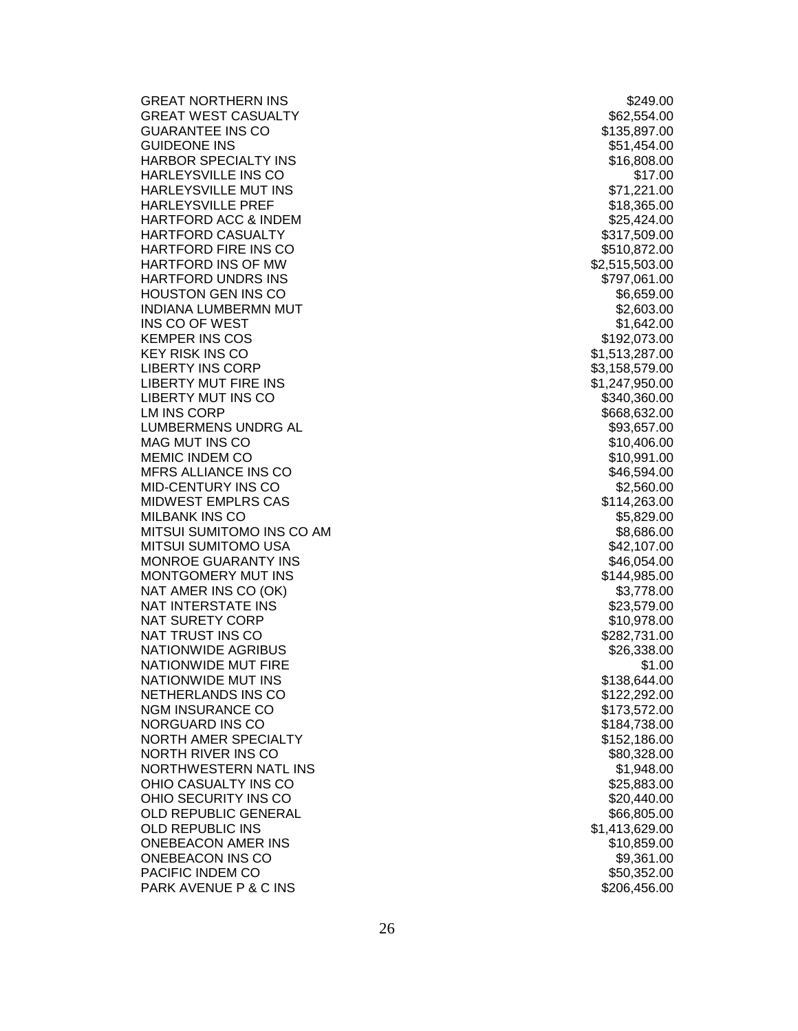GREAT NORTHERN INS **\$249.00** GREAT WEST CASUALTY \$62,554.00 GUARANTEE INS CO **\$135,897.00** GUIDEONE INS
SETTING THE SETTING OF THE SETTING OF THE SETTING OF THE SETTING OF THE SETTING OF THE SETTING OF THE SETTING OF THE SETTING OF THE SETTING OF THE SETTING OF THE SETTING OF THE SETTING OF THE SETTING OF THE SE HARBOR SPECIALTY INS \$16,808.00 HARLEYSVILLE INS CO HARLEYSVILLE MUT INS \$71,221.00 HARLEYSVILLE PREF \$18,365.00 HARTFORD ACC & INDEM  $$25,424.00$ HARTFORD CASUALTY **ALCOREGY CONTROLLER IN THE SET OF STATE ASSESS** \$317,509.00 HARTFORD FIRE INS CO **\$510,872.00** HARTFORD INS OF MW HARTFORD UNDRS INS  $$797,061.00$ HOUSTON GEN INS CO **\$6,659.00** INDIANA LUMBERMN MUT \$2,603.00 INS CO OF WEST SALES AND THE SERVICE OF STREET AND INCOMED ASSAULT AND INCOMEDIATE STREET AND INCOMEDIATE STREET KEMPER INS COS \$192,073.00 KEY RISK INS CO \$1,513,287.00 LIBERTY INS CORP \$3,158,579.00 LIBERTY MUT FIRE INS \$1,247,950.00 LIBERTY MUT INS CO **\$340,360.00**  $LM$  INS CORP  $$668,632.00$ LUMBERMENS UNDRG AL **All and the Solution of the Second Automobile S**93,657.00 MAG MUT INS C MEMIC INDEM CO **\$10,991.00** MFRS ALLIANCE INS CO **\$46,594.00** MID-CENTURY INS CONTROL 2008 - The SAN AREA AND ASSAULT AND SEX 450.000 SEX 560.00 MIDWEST EMPLRS CAS  $$114,263.00$ MILBANK INS CO **\$5,829.00** MITSUI SUMITOMO INS CO AM **\$8,686.00** \$8,686.00 MITSUI SUMITOMO USA \$42,107.00 MONROE GUARANTY INS \$46,054.00 MONTGOMERY MUT INS **AND SET A SET A SET A SET AND RESIDENT** STA4,985.00 NAT AMER INS CO (OK) \$3,778.00 NAT INTERSTATE INS \$23,579.00 NAT SURETY CORP \$10,978.00 NAT TRUST INS CO **\$282,731.00** NATIONWIDE AGRIBUS **\$26,338.00** \$26,338.00 NATIONWIDE MUT FIRE **\$1.00** NATIONWIDE MUT INS **the set of the set of the set of the set of the set of the set of the set of the set of the set of the set of the set of the set of the set of the set of the set of the set of the set of the set of the** NETHERLANDS INS CO **\$122,292.00** \$122,292.00 NGM INSURANCE CO **\$173,572.00** NORGUARD INS CO **\$184,738.00** NORTH AMER SPECIALTY **\$152,186.00** NORTH RIVER INS CO **\$80,328.00** NORTHWESTERN NATL IN OHIO CASUALTY INS CO **\$25,883.00** OHIO SECURITY INS CO **\$20,440.00** OLD REPUBLIC GENERAL **\$66,805.00** \$66,805.00 OLD REPUBLIC INS \$1,413,629.00 ONEBEACON AMER INS \$10,859.00 ONEBEACON INS CO \$9,361.00 PACIFIC INDEM CO **\$50,352.00** PARK AVENUE P & C IN

\$10,406.00 S \$1,948.00 S \$206,456.00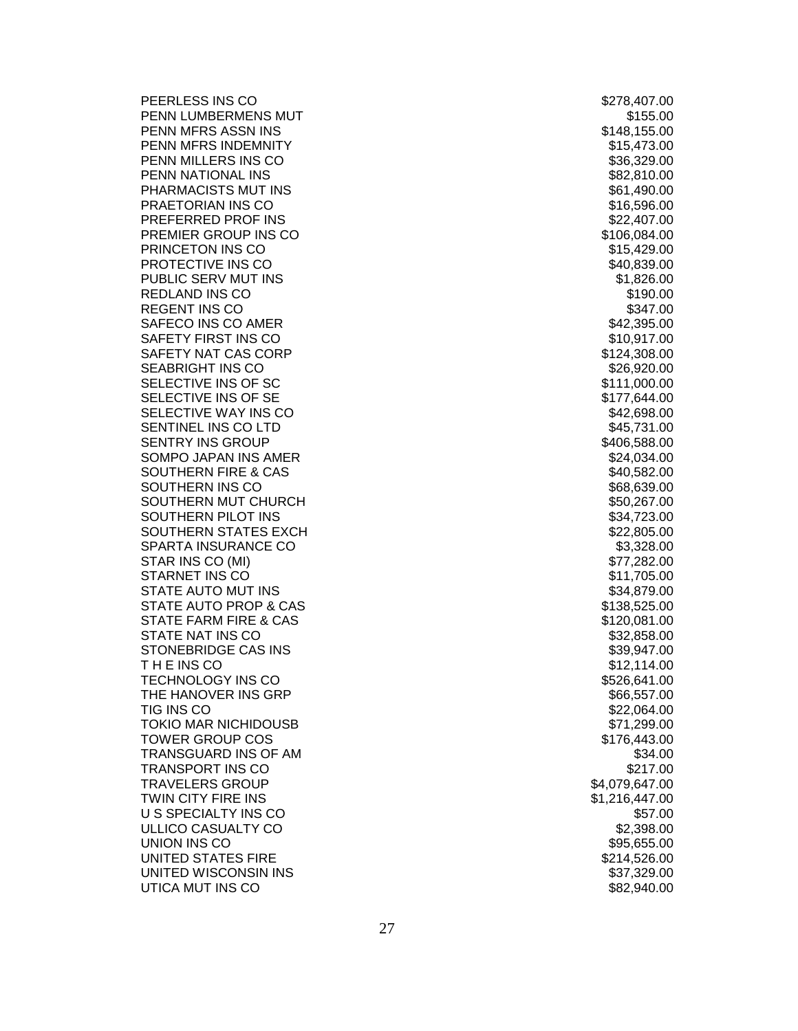PEERLESS INS CO **\$278,407.00** PENN LUMBERMENS MUT PENN MFRS ASSN INS PENN MFRS INDEMNITY **1998** 2008 12:30 12:30 12:30 12:30 13,473.00 PENN MILLERS INS CO **\$36,329.00** \$36,329.00 PENN NATIONAL INS **EXECUTE 2** and the state of the state of the state  $$82,810.00$ PHARMACISTS MUT INS **And Account 2018 12:00 SET 100 ACCOUNT** 2018 12:00:00 PRAETORIAN INS CO **\$16,596.00** \$16,596.00 PREFERRED PROF INS \$22,407.00 PREMIER GROUP INS CO **\$106,084.00** \$106,084.00 PRINCETON INS CO **\$15,429.00** PROTECTIVE INS CO **\$40,839.00** PUBLIC SERV MUT INS **\$1,826.00** REDLAND INS CO **\$190.00** REGENT INS CO **\$347.00** SAFECO INS CO AMER **\$42,395.00** \$42,395.00 SAFETY FIRST INS CO **\$10,917.00** \$10,917.00 SAFETY NAT CAS CORP \$124,308.00 SEABRIGHT INS CO **\$26,920.00** SELECTIVE INS OF SC 6 and the state of the state of the state of the state of the state of the state of the state of the state of the state of the state of the state of the state of the state of the state of the state of t SELECTIVE INS OF SE \$177,644.00 SELECTIVE WAY INS CO SENTINEL INS CO LTD **\$45,731.00** SENTRY INS GROUP **\$406,588.00** SOMPO JAPAN INS AMER **\$24,034.00** SOUTHERN FIRE & CAS  $$40,582.00$ SOUTHERN INS CO **\$68,639.00** SOUTHERN MUT CHURCH  $$50,267.00$ SOUTHERN PILOT INS **\$34,723.00** SOUTHERN STATES EXCH \$22,805.00 SPARTA INSURANCE CO STAR INS CO (MI) \$77,282.00 STARNET INS CO \$11,705.00 STATE AUTO MUT INS \$34,879.00 STATE AUTO PROP & CA STATE FARM FIRE & CA S STATE NAT INS CO **\$32,858.00** STONEBRIDGE CAS INS \$39,947.00 T H E INS CO \$12,114.00 TECHNOLOGY INS CO **\$526,641.00** THE HANOVER INS GRP **\$66,557.00** \$66,557.00 TIG INS CO \$22,064.00 TOKIO MAR NICHIDOUSB \$71,299.00 TOWER GROUP COS \$176,443.00 TRANSGUARD INS OF AM \$34.00 TRANSPORT INS CO TRAVELERS GROUP \$4,079,647.00 TWIN CITY FIRE INS \$1,216,447.00 US SPECIALTY INS CONTROL 2008 12:00 \$57.00 ULLICO CASUALTY CO **\$2,398.00** UNION INS CO **\$95,655.00** UNITED STATES FIRE \$214,526.00 UNITED WISCONSIN INS UTICA MUT INS CO **\$82,940.00** 

S \$148,155.00 S \$138,525.00 \$120,081.00 \$37,329.00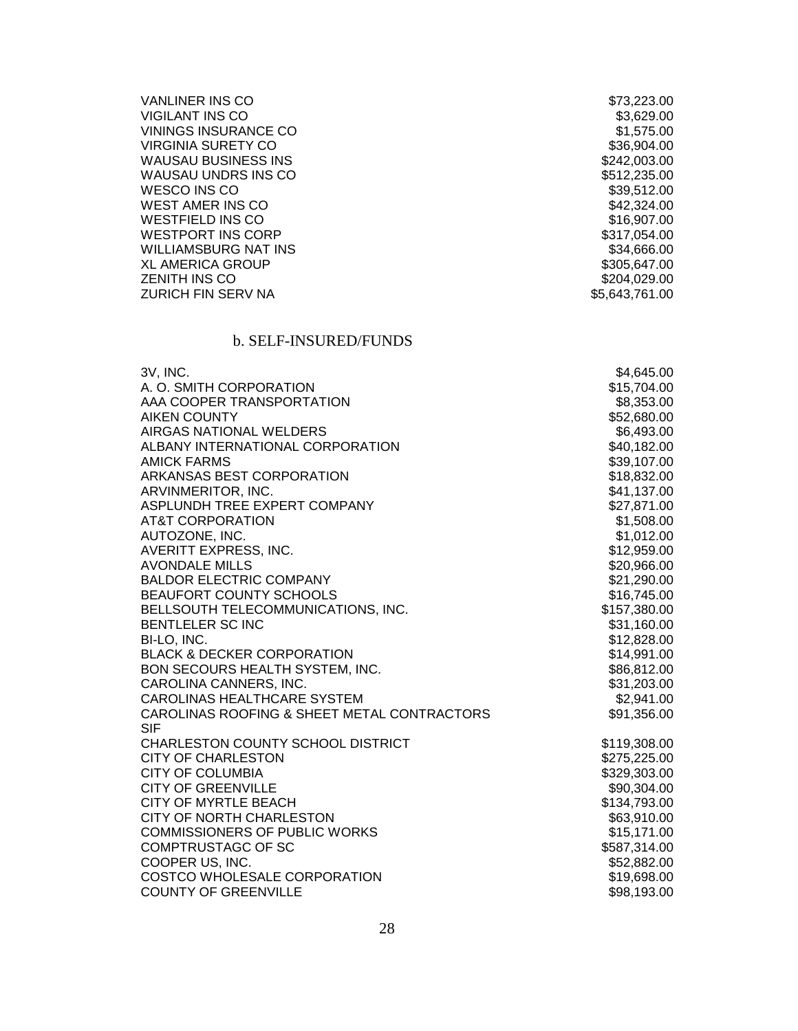| <b>VANLINER INS CO</b>      | \$73,223.00    |
|-----------------------------|----------------|
| <b>VIGILANT INS CO</b>      | \$3,629.00     |
| VININGS INSURANCE CO        | \$1,575,00     |
| VIRGINIA SURETY CO          | \$36,904,00    |
| <b>WAUSAU BUSINESS INS</b>  | \$242,003.00   |
| WAUSAU UNDRS INS CO         | \$512,235.00   |
| WESCO INS CO                | \$39,512.00    |
| WEST AMER INS CO            | \$42,324.00    |
| WESTFIELD INS CO            | \$16,907,00    |
| <b>WESTPORT INS CORP</b>    | \$317,054.00   |
| <b>WILLIAMSBURG NAT INS</b> | \$34,666.00    |
| <b>XL AMERICA GROUP</b>     | \$305,647.00   |
| <b>ZENITH INS CO</b>        | \$204,029.00   |
| <b>ZURICH FIN SERV NA</b>   | \$5,643,761.00 |
|                             |                |

# b. SELF-INSURED/FUNDS

| 3V, INC.                                    | \$4,645.00   |
|---------------------------------------------|--------------|
| A. O. SMITH CORPORATION                     | \$15,704.00  |
| AAA COOPER TRANSPORTATION                   | \$8,353.00   |
| <b>AIKEN COUNTY</b>                         | \$52,680.00  |
| AIRGAS NATIONAL WELDERS                     | \$6,493.00   |
| ALBANY INTERNATIONAL CORPORATION            | \$40,182.00  |
| <b>AMICK FARMS</b>                          | \$39,107.00  |
| ARKANSAS BEST CORPORATION                   | \$18,832.00  |
| ARVINMERITOR, INC.                          | \$41,137.00  |
| ASPLUNDH TREE EXPERT COMPANY                | \$27,871.00  |
| <b>AT&amp;T CORPORATION</b>                 | \$1,508.00   |
| AUTOZONE, INC.                              | \$1,012.00   |
| AVERITT EXPRESS, INC.                       | \$12,959.00  |
| <b>AVONDALE MILLS</b>                       | \$20,966.00  |
| <b>BALDOR ELECTRIC COMPANY</b>              | \$21,290.00  |
| <b>BEAUFORT COUNTY SCHOOLS</b>              | \$16,745.00  |
| BELLSOUTH TELECOMMUNICATIONS, INC.          | \$157,380.00 |
| BENTLELER SC INC                            | \$31,160.00  |
| BI-LO, INC.                                 | \$12,828.00  |
| <b>BLACK &amp; DECKER CORPORATION</b>       | \$14,991.00  |
| BON SECOURS HEALTH SYSTEM, INC.             | \$86,812.00  |
| CAROLINA CANNERS, INC.                      | \$31,203.00  |
| CAROLINAS HEALTHCARE SYSTEM                 | \$2,941.00   |
| CAROLINAS ROOFING & SHEET METAL CONTRACTORS | \$91,356.00  |
| <b>SIF</b>                                  |              |
| CHARLESTON COUNTY SCHOOL DISTRICT           | \$119,308.00 |
| <b>CITY OF CHARLESTON</b>                   | \$275,225.00 |
| <b>CITY OF COLUMBIA</b>                     | \$329,303.00 |
| <b>CITY OF GREENVILLE</b>                   | \$90,304.00  |
| <b>CITY OF MYRTLE BEACH</b>                 | \$134,793.00 |
| CITY OF NORTH CHARLESTON                    | \$63,910.00  |
| <b>COMMISSIONERS OF PUBLIC WORKS</b>        | \$15,171.00  |
| COMPTRUSTAGC OF SC                          | \$587,314.00 |
| COOPER US, INC.                             | \$52,882.00  |
| COSTCO WHOLESALE CORPORATION                | \$19,698.00  |
| <b>COUNTY OF GREENVILLE</b>                 | \$98,193.00  |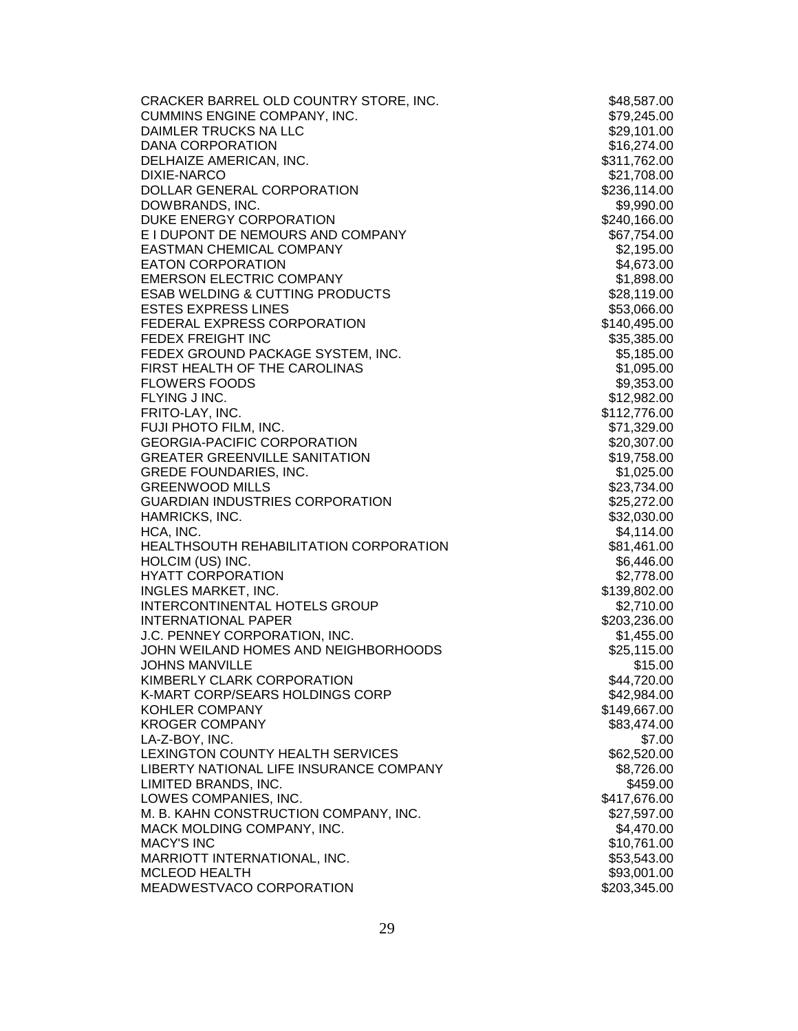| CRACKER BARREL OLD COUNTRY STORE, INC.     | \$48,587.00  |
|--------------------------------------------|--------------|
| <b>CUMMINS ENGINE COMPANY, INC.</b>        | \$79,245.00  |
| DAIMLER TRUCKS NA LLC                      | \$29,101.00  |
| <b>DANA CORPORATION</b>                    | \$16,274.00  |
| DELHAIZE AMERICAN, INC.                    | \$311,762.00 |
| <b>DIXIE-NARCO</b>                         | \$21,708.00  |
| DOLLAR GENERAL CORPORATION                 | \$236,114.00 |
| DOWBRANDS, INC.                            | \$9,990.00   |
| DUKE ENERGY CORPORATION                    | \$240,166.00 |
| E I DUPONT DE NEMOURS AND COMPANY          | \$67,754.00  |
| EASTMAN CHEMICAL COMPANY                   | \$2,195.00   |
| <b>EATON CORPORATION</b>                   | \$4,673.00   |
| <b>EMERSON ELECTRIC COMPANY</b>            | \$1,898.00   |
| <b>ESAB WELDING &amp; CUTTING PRODUCTS</b> | \$28,119.00  |
| <b>ESTES EXPRESS LINES</b>                 | \$53,066.00  |
| FEDERAL EXPRESS CORPORATION                | \$140,495.00 |
| FEDEX FREIGHT INC                          | \$35,385.00  |
| FEDEX GROUND PACKAGE SYSTEM, INC.          | \$5,185.00   |
| FIRST HEALTH OF THE CAROLINAS              | \$1,095.00   |
| <b>FLOWERS FOODS</b>                       | \$9,353.00   |
| FLYING J INC.                              | \$12,982.00  |
|                                            |              |
| FRITO-LAY, INC.                            | \$112,776.00 |
| FUJI PHOTO FILM, INC.                      | \$71,329.00  |
| <b>GEORGIA-PACIFIC CORPORATION</b>         | \$20,307.00  |
| <b>GREATER GREENVILLE SANITATION</b>       | \$19,758.00  |
| <b>GREDE FOUNDARIES, INC.</b>              | \$1,025.00   |
| <b>GREENWOOD MILLS</b>                     | \$23,734.00  |
| <b>GUARDIAN INDUSTRIES CORPORATION</b>     | \$25,272.00  |
| HAMRICKS, INC.                             | \$32,030.00  |
| HCA, INC.                                  | \$4,114.00   |
| HEALTHSOUTH REHABILITATION CORPORATION     | \$81,461.00  |
| HOLCIM (US) INC.                           | \$6,446.00   |
| <b>HYATT CORPORATION</b>                   | \$2,778.00   |
| <b>INGLES MARKET, INC.</b>                 | \$139,802.00 |
| <b>INTERCONTINENTAL HOTELS GROUP</b>       | \$2,710.00   |
| <b>INTERNATIONAL PAPER</b>                 | \$203,236.00 |
| J.C. PENNEY CORPORATION, INC.              | \$1,455.00   |
| JOHN WEILAND HOMES AND NEIGHBORHOODS       | \$25,115.00  |
| <b>JOHNS MANVILLE</b>                      | \$15.00      |
| KIMBERLY CLARK CORPORATION                 | \$44,720.00  |
| K-MART CORP/SEARS HOLDINGS CORP            | \$42,984.00  |
| <b>KOHLER COMPANY</b>                      | \$149,667.00 |
| <b>KROGER COMPANY</b>                      | \$83,474.00  |
| LA-Z-BOY, INC.                             | \$7.00       |
| LEXINGTON COUNTY HEALTH SERVICES           | \$62,520.00  |
| LIBERTY NATIONAL LIFE INSURANCE COMPANY    | \$8,726.00   |
| LIMITED BRANDS, INC.                       | \$459.00     |
| LOWES COMPANIES, INC.                      | \$417,676.00 |
| M. B. KAHN CONSTRUCTION COMPANY, INC.      | \$27,597.00  |
| MACK MOLDING COMPANY, INC.                 | \$4,470.00   |
| <b>MACY'S INC</b>                          | \$10,761.00  |
| MARRIOTT INTERNATIONAL, INC.               | \$53,543.00  |
| <b>MCLEOD HEALTH</b>                       | \$93,001.00  |
| MEADWESTVACO CORPORATION                   | \$203,345.00 |
|                                            |              |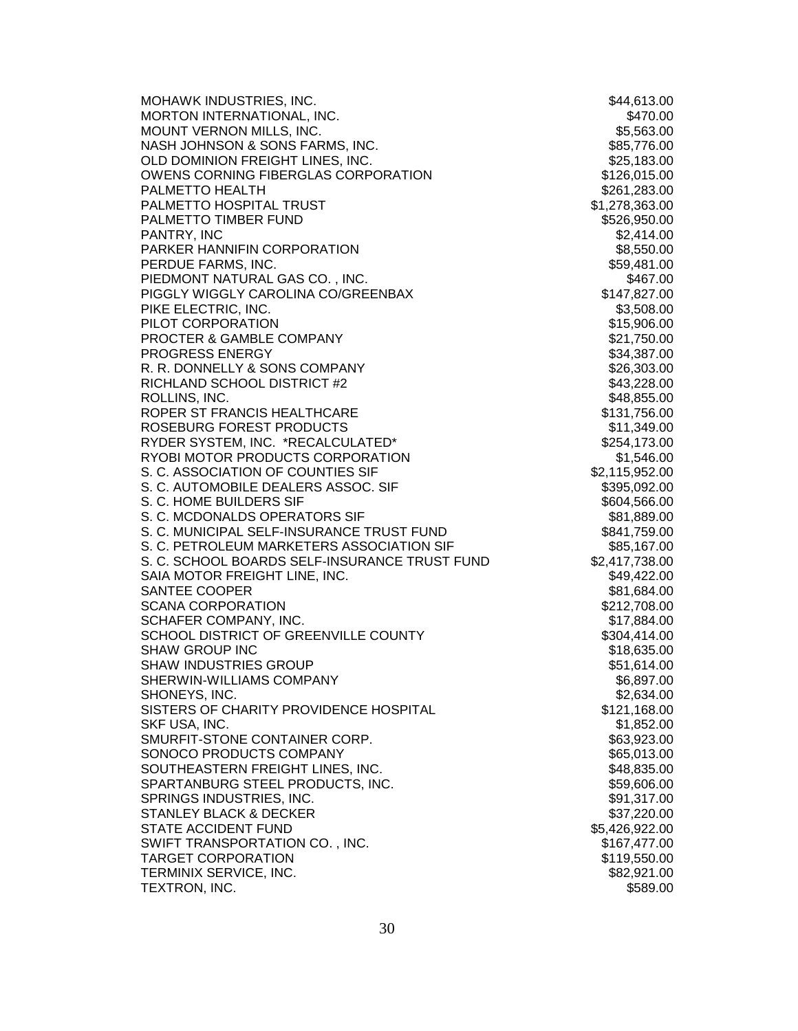| MOHAWK INDUSTRIES, INC.                       | \$44,613.00    |
|-----------------------------------------------|----------------|
| MORTON INTERNATIONAL, INC.                    | \$470.00       |
| MOUNT VERNON MILLS, INC.                      | \$5,563.00     |
| NASH JOHNSON & SONS FARMS, INC.               | \$85,776.00    |
| OLD DOMINION FREIGHT LINES, INC.              | \$25,183.00    |
| OWENS CORNING FIBERGLAS CORPORATION           | \$126,015.00   |
| PALMETTO HEALTH                               | \$261,283.00   |
| PALMETTO HOSPITAL TRUST                       | \$1,278,363.00 |
| PALMETTO TIMBER FUND                          | \$526,950.00   |
| PANTRY, INC                                   | \$2,414.00     |
| PARKER HANNIFIN CORPORATION                   | \$8,550.00     |
| PERDUE FARMS, INC.                            | \$59,481.00    |
| PIEDMONT NATURAL GAS CO., INC.                | \$467.00       |
| PIGGLY WIGGLY CAROLINA CO/GREENBAX            | \$147,827.00   |
| PIKE ELECTRIC, INC.                           | \$3,508.00     |
| PILOT CORPORATION                             | \$15,906.00    |
| PROCTER & GAMBLE COMPANY                      | \$21,750.00    |
| PROGRESS ENERGY                               | \$34,387.00    |
| R. R. DONNELLY & SONS COMPANY                 | \$26,303.00    |
| RICHLAND SCHOOL DISTRICT #2                   | \$43,228.00    |
| ROLLINS, INC.                                 |                |
| ROPER ST FRANCIS HEALTHCARE                   | \$48,855.00    |
|                                               | \$131,756.00   |
| ROSEBURG FOREST PRODUCTS                      | \$11,349.00    |
| RYDER SYSTEM, INC. *RECALCULATED*             | \$254,173.00   |
| RYOBI MOTOR PRODUCTS CORPORATION              | \$1,546.00     |
| S. C. ASSOCIATION OF COUNTIES SIF             | \$2,115,952.00 |
| S. C. AUTOMOBILE DEALERS ASSOC. SIF           | \$395,092.00   |
| S. C. HOME BUILDERS SIF                       | \$604,566.00   |
| S. C. MCDONALDS OPERATORS SIF                 | \$81,889.00    |
| S. C. MUNICIPAL SELF-INSURANCE TRUST FUND     | \$841,759.00   |
| S. C. PETROLEUM MARKETERS ASSOCIATION SIF     | \$85,167.00    |
| S. C. SCHOOL BOARDS SELF-INSURANCE TRUST FUND | \$2,417,738.00 |
| SAIA MOTOR FREIGHT LINE, INC.                 | \$49,422.00    |
| SANTEE COOPER                                 | \$81,684.00    |
| <b>SCANA CORPORATION</b>                      | \$212,708.00   |
| SCHAFER COMPANY, INC.                         | \$17,884.00    |
| SCHOOL DISTRICT OF GREENVILLE COUNTY          | \$304,414.00   |
| <b>SHAW GROUP INC</b>                         | \$18,635.00    |
| <b>SHAW INDUSTRIES GROUP</b>                  | \$51,614.00    |
| SHERWIN-WILLIAMS COMPANY                      | \$6,897.00     |
| SHONEYS, INC.                                 | \$2,634.00     |
| SISTERS OF CHARITY PROVIDENCE HOSPITAL        | \$121,168.00   |
| SKF USA, INC.                                 | \$1,852.00     |
| SMURFIT-STONE CONTAINER CORP.                 | \$63,923.00    |
| SONOCO PRODUCTS COMPANY                       | \$65,013.00    |
| SOUTHEASTERN FREIGHT LINES, INC.              | \$48,835.00    |
| SPARTANBURG STEEL PRODUCTS, INC.              | \$59,606.00    |
| SPRINGS INDUSTRIES, INC.                      | \$91,317.00    |
| <b>STANLEY BLACK &amp; DECKER</b>             | \$37,220.00    |
| <b>STATE ACCIDENT FUND</b>                    | \$5,426,922.00 |
| SWIFT TRANSPORTATION CO., INC.                | \$167,477.00   |
| <b>TARGET CORPORATION</b>                     | \$119,550.00   |
| TERMINIX SERVICE, INC.                        | \$82,921.00    |
| TEXTRON, INC.                                 | \$589.00       |
|                                               |                |